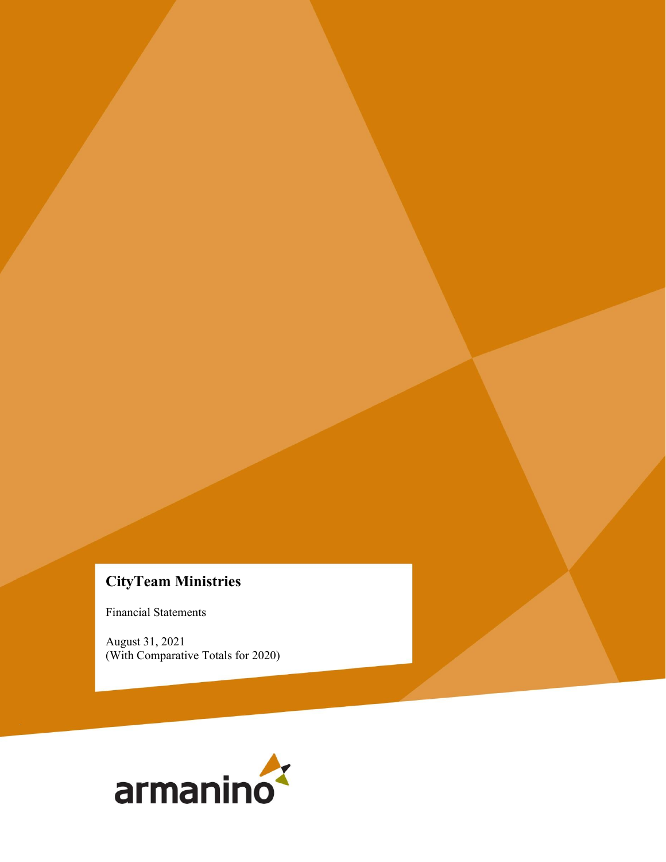# **CityTeam Ministries**

Financial Statements

August 31, 2021 (With Comparative Totals for 2020)

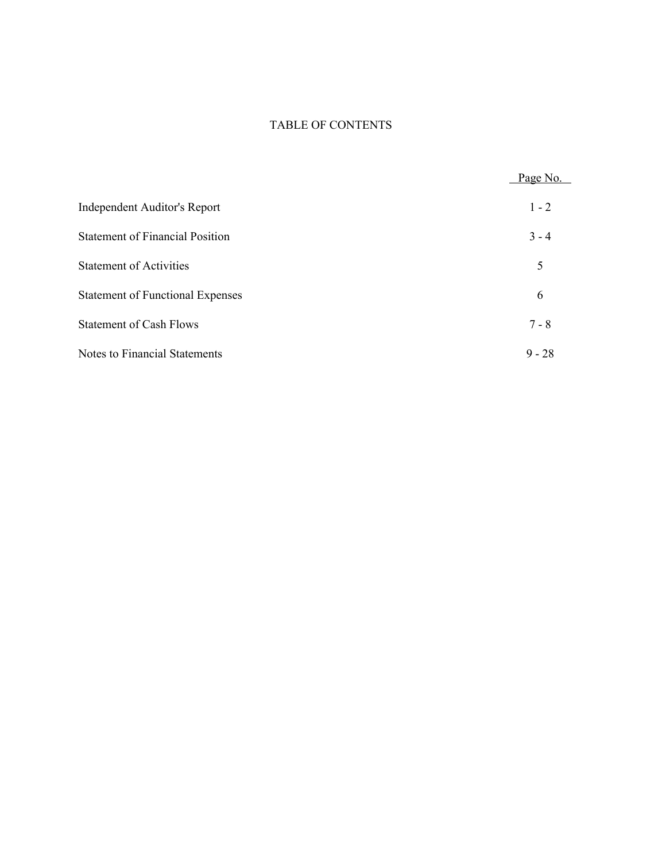## TABLE OF CONTENTS

|                                         | Page No. |
|-----------------------------------------|----------|
| Independent Auditor's Report            | $1 - 2$  |
| <b>Statement of Financial Position</b>  | $3 - 4$  |
| <b>Statement of Activities</b>          | 5        |
| <b>Statement of Functional Expenses</b> | 6        |
| <b>Statement of Cash Flows</b>          | $7 - 8$  |
| <b>Notes to Financial Statements</b>    | $9 - 28$ |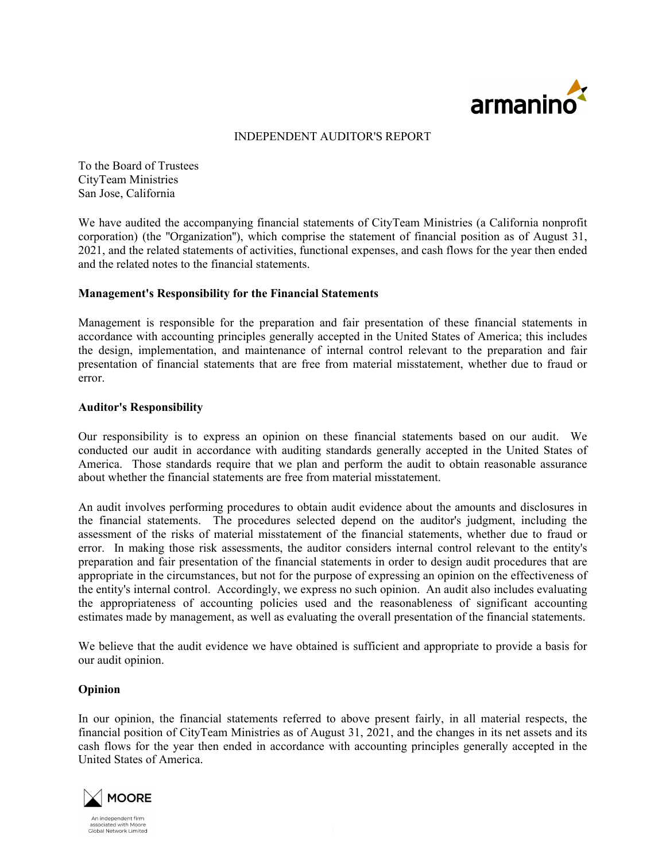

#### INDEPENDENT AUDITOR'S REPORT

To the Board of Trustees CityTeam Ministries San Jose, California

We have audited the accompanying financial statements of CityTeam Ministries (a California nonprofit corporation) (the ''Organization''), which comprise the statement of financial position as of August 31, 2021, and the related statements of activities, functional expenses, and cash flows for the year then ended and the related notes to the financial statements.

## **Management's Responsibility for the Financial Statements**

Management is responsible for the preparation and fair presentation of these financial statements in accordance with accounting principles generally accepted in the United States of America; this includes the design, implementation, and maintenance of internal control relevant to the preparation and fair presentation of financial statements that are free from material misstatement, whether due to fraud or error.

## **Auditor's Responsibility**

Our responsibility is to express an opinion on these financial statements based on our audit. We conducted our audit in accordance with auditing standards generally accepted in the United States of America. Those standards require that we plan and perform the audit to obtain reasonable assurance about whether the financial statements are free from material misstatement.

An audit involves performing procedures to obtain audit evidence about the amounts and disclosures in the financial statements. The procedures selected depend on the auditor's judgment, including the assessment of the risks of material misstatement of the financial statements, whether due to fraud or error. In making those risk assessments, the auditor considers internal control relevant to the entity's preparation and fair presentation of the financial statements in order to design audit procedures that are appropriate in the circumstances, but not for the purpose of expressing an opinion on the effectiveness of the entity's internal control. Accordingly, we express no such opinion. An audit also includes evaluating the appropriateness of accounting policies used and the reasonableness of significant accounting estimates made by management, as well as evaluating the overall presentation of the financial statements.

We believe that the audit evidence we have obtained is sufficient and appropriate to provide a basis for our audit opinion.

## **Opinion**

In our opinion, the financial statements referred to above present fairly, in all material respects, the financial position of CityTeam Ministries as of August 31, 2021, and the changes in its net assets and its cash flows for the year then ended in accordance with accounting principles generally accepted in the United States of America.



An independent firm Armdependent mm<br>associated with Moore<br>Global Network Limited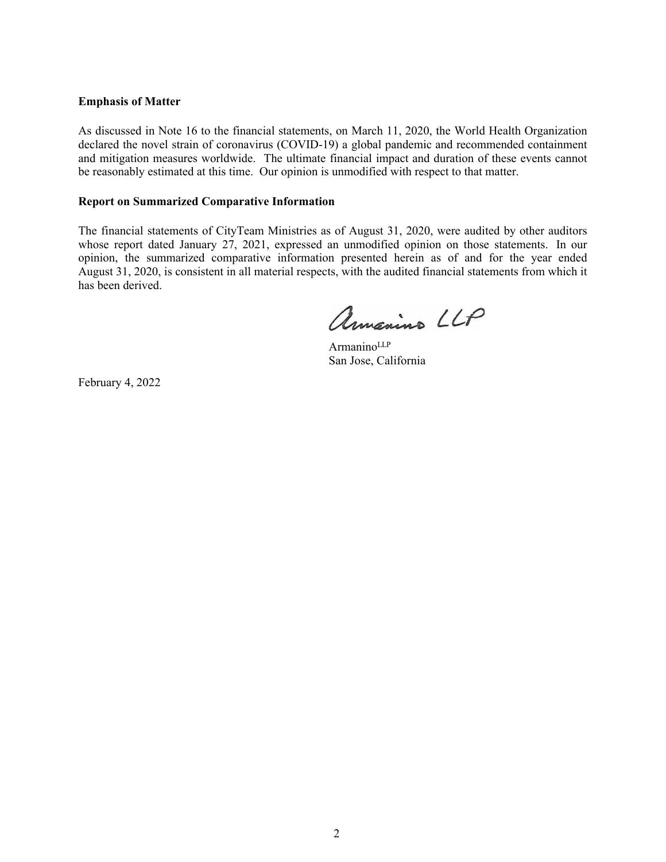## **Emphasis of Matter**

As discussed in Note 16 to the financial statements, on March 11, 2020, the World Health Organization declared the novel strain of coronavirus (COVID-19) a global pandemic and recommended containment and mitigation measures worldwide. The ultimate financial impact and duration of these events cannot be reasonably estimated at this time. Our opinion is unmodified with respect to that matter.

#### **Report on Summarized Comparative Information**

The financial statements of CityTeam Ministries as of August 31, 2020, were audited by other auditors whose report dated January 27, 2021, expressed an unmodified opinion on those statements. In our opinion, the summarized comparative information presented herein as of and for the year ended August 31, 2020, is consistent in all material respects, with the audited financial statements from which it has been derived.

annanino LLP

**ArmaninoLLP** San Jose, California

February 4, 2022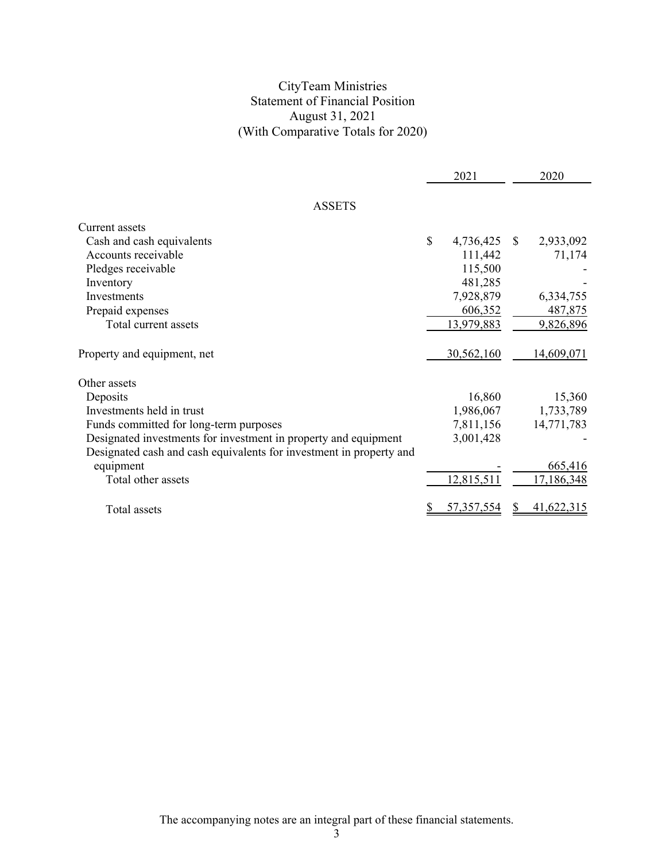# CityTeam Ministries Statement of Financial Position August 31, 2021 (With Comparative Totals for 2020)

|                                                                                                                                                                                                                                                        | 2021                                                                                   |               | 2020                                                     |
|--------------------------------------------------------------------------------------------------------------------------------------------------------------------------------------------------------------------------------------------------------|----------------------------------------------------------------------------------------|---------------|----------------------------------------------------------|
| <b>ASSETS</b>                                                                                                                                                                                                                                          |                                                                                        |               |                                                          |
| Current assets<br>Cash and cash equivalents<br>Accounts receivable<br>Pledges receivable<br>Inventory<br>Investments<br>Prepaid expenses<br>Total current assets                                                                                       | \$<br>4,736,425<br>111,442<br>115,500<br>481,285<br>7,928,879<br>606,352<br>13,979,883 | <sup>\$</sup> | 2,933,092<br>71,174<br>6,334,755<br>487,875<br>9,826,896 |
| Property and equipment, net                                                                                                                                                                                                                            | 30,562,160                                                                             |               | 14,609,071                                               |
| Other assets<br>Deposits<br>Investments held in trust<br>Funds committed for long-term purposes<br>Designated investments for investment in property and equipment<br>Designated cash and cash equivalents for investment in property and<br>equipment | 16,860<br>1,986,067<br>7,811,156<br>3,001,428                                          |               | 15,360<br>1,733,789<br>14,771,783<br>665,416             |
| Total other assets<br>Total assets                                                                                                                                                                                                                     | 12,815,511<br>57,357,554                                                               |               | 17,186,348<br>41,622,315                                 |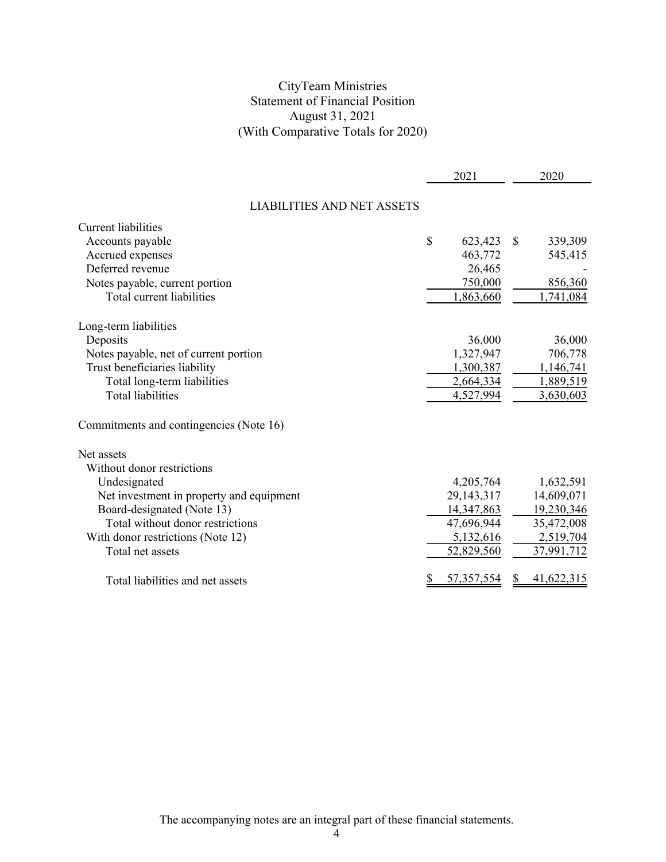# CityTeam Ministries Statement of Financial Position August 31, 2021 (With Comparative Totals for 2020)

|                                                                                                                                                                                                                                 |   | 2021                                                                           |               | 2020                                                                           |
|---------------------------------------------------------------------------------------------------------------------------------------------------------------------------------------------------------------------------------|---|--------------------------------------------------------------------------------|---------------|--------------------------------------------------------------------------------|
| <b>LIABILITIES AND NET ASSETS</b>                                                                                                                                                                                               |   |                                                                                |               |                                                                                |
| <b>Current liabilities</b><br>Accounts payable<br>Accrued expenses<br>Deferred revenue<br>Notes payable, current portion<br>Total current liabilities                                                                           | S | 623,423<br>463,772<br>26,465<br>750,000<br>1,863,660                           | <sup>\$</sup> | 339,309<br>545,415<br>856,360<br>1,741,084                                     |
| Long-term liabilities<br>Deposits<br>Notes payable, net of current portion<br>Trust beneficiaries liability<br>Total long-term liabilities<br><b>Total liabilities</b><br>Commitments and contingencies (Note 16)               |   | 36,000<br>1,327,947<br>1,300,387<br>2,664,334<br>4,527,994                     |               | 36,000<br>706,778<br>1,146,741<br>1,889,519<br>3,630,603                       |
| Net assets<br>Without donor restrictions<br>Undesignated<br>Net investment in property and equipment<br>Board-designated (Note 13)<br>Total without donor restrictions<br>With donor restrictions (Note 12)<br>Total net assets |   | 4,205,764<br>29,143,317<br>14,347,863<br>47,696,944<br>5,132,616<br>52,829,560 |               | 1,632,591<br>14,609,071<br>19,230,346<br>35,472,008<br>2,519,704<br>37,991,712 |
| Total liabilities and net assets                                                                                                                                                                                                |   | <u>57,357,554</u>                                                              |               | 41,622,315                                                                     |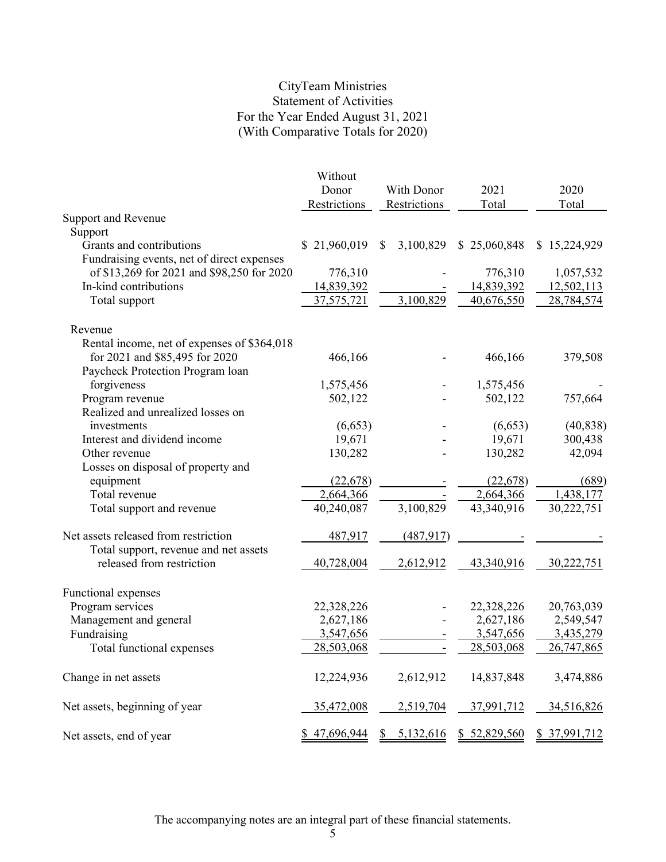# CityTeam Ministries Statement of Activities For the Year Ended August 31, 2021 (With Comparative Totals for 2020)

|                                             | Without      |                              |               |                     |
|---------------------------------------------|--------------|------------------------------|---------------|---------------------|
|                                             | Donor        | With Donor                   | 2021          | 2020                |
|                                             | Restrictions | Restrictions                 | Total         | Total               |
| Support and Revenue                         |              |                              |               |                     |
| Support                                     |              |                              |               |                     |
| Grants and contributions                    | \$21,960,019 | 3,100,829<br>\$              | \$25,060,848  | \$15,224,929        |
| Fundraising events, net of direct expenses  |              |                              |               |                     |
| of \$13,269 for 2021 and \$98,250 for 2020  | 776,310      |                              | 776,310       | 1,057,532           |
| In-kind contributions                       | 14,839,392   |                              | 14,839,392    | 12,502,113          |
| Total support                               | 37,575,721   | 3,100,829                    | 40,676,550    | 28,784,574          |
| Revenue                                     |              |                              |               |                     |
| Rental income, net of expenses of \$364,018 |              |                              |               |                     |
| for 2021 and \$85,495 for 2020              | 466,166      |                              | 466,166       | 379,508             |
| Paycheck Protection Program loan            |              |                              |               |                     |
| forgiveness                                 | 1,575,456    |                              | 1,575,456     |                     |
| Program revenue                             | 502,122      |                              | 502,122       | 757,664             |
| Realized and unrealized losses on           |              |                              |               |                     |
| investments                                 | (6,653)      |                              | (6,653)       | (40, 838)           |
| Interest and dividend income                | 19,671       |                              | 19,671        | 300,438             |
| Other revenue                               | 130,282      |                              | 130,282       | 42,094              |
| Losses on disposal of property and          |              |                              |               |                     |
| equipment                                   | (22, 678)    |                              | (22, 678)     | (689)               |
| Total revenue                               | 2,664,366    |                              | 2,664,366     | 1,438,177           |
| Total support and revenue                   | 40,240,087   | 3,100,829                    | 43,340,916    | 30,222,751          |
| Net assets released from restriction        | 487,917      | (487, 917)                   |               |                     |
| Total support, revenue and net assets       |              |                              |               |                     |
| released from restriction                   | 40,728,004   | 2,612,912                    | 43,340,916    | 30,222,751          |
| Functional expenses                         |              |                              |               |                     |
| Program services                            | 22,328,226   |                              | 22,328,226    | 20,763,039          |
| Management and general                      | 2,627,186    |                              | 2,627,186     | 2,549,547           |
| Fundraising                                 | 3,547,656    |                              | 3,547,656     | 3,435,279           |
| Total functional expenses                   | 28,503,068   | $\qquad \qquad \blacksquare$ | 28,503,068    | 26,747,865          |
| Change in net assets                        | 12,224,936   | 2,612,912                    | 14,837,848    | 3,474,886           |
| Net assets, beginning of year               | 35,472,008   | 2,519,704                    | 37,991,712    | 34,516,826          |
| Net assets, end of year                     | \$47,696,944 | \$ 5,132,616                 | \$ 52,829,560 | <u>\$37,991,712</u> |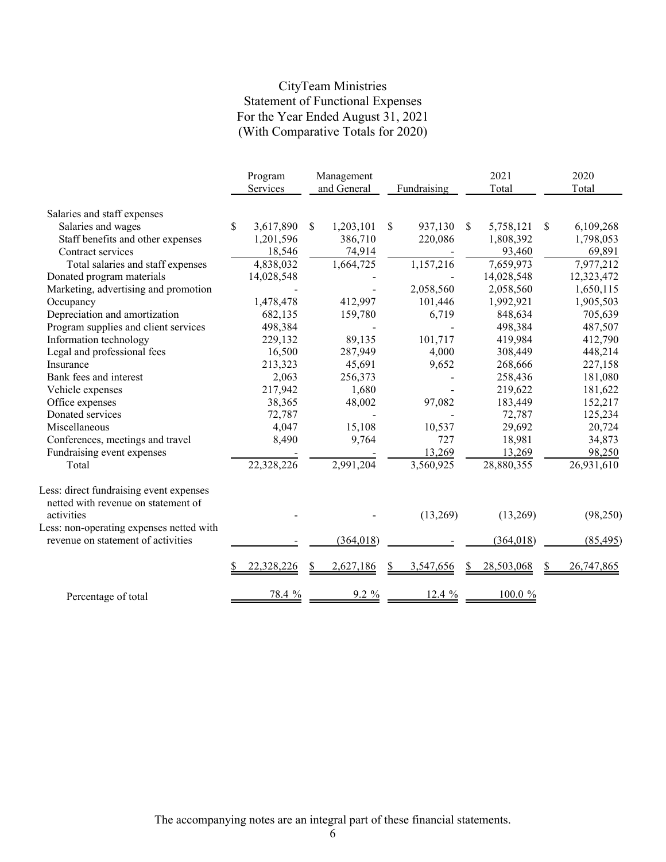# CityTeam Ministries Statement of Functional Expenses For the Year Ended August 31, 2021 (With Comparative Totals for 2020)

|                                          | Program         |    | Management  |               |               | 2021       | 2020            |
|------------------------------------------|-----------------|----|-------------|---------------|---------------|------------|-----------------|
|                                          | Services        |    | and General | Fundraising   |               | Total      | Total           |
| Salaries and staff expenses              |                 |    |             |               |               |            |                 |
| Salaries and wages                       | \$<br>3,617,890 | \$ | 1,203,101   | \$<br>937,130 | <sup>\$</sup> | 5,758,121  | \$<br>6,109,268 |
| Staff benefits and other expenses        | 1,201,596       |    | 386,710     | 220,086       |               | 1,808,392  | 1,798,053       |
| Contract services                        | 18,546          |    | 74,914      |               |               | 93,460     | 69,891          |
| Total salaries and staff expenses        | 4,838,032       |    | 1,664,725   | 1,157,216     |               | 7,659,973  | 7,977,212       |
| Donated program materials                | 14,028,548      |    |             |               |               | 14,028,548 | 12,323,472      |
| Marketing, advertising and promotion     |                 |    |             | 2,058,560     |               | 2,058,560  | 1,650,115       |
| Occupancy                                | 1,478,478       |    | 412,997     | 101,446       |               | 1,992,921  | 1,905,503       |
| Depreciation and amortization            | 682,135         |    | 159,780     | 6,719         |               | 848,634    | 705,639         |
| Program supplies and client services     | 498,384         |    |             |               |               | 498,384    | 487,507         |
| Information technology                   | 229,132         |    | 89,135      | 101,717       |               | 419,984    | 412,790         |
| Legal and professional fees              | 16,500          |    | 287,949     | 4,000         |               | 308,449    | 448,214         |
| Insurance                                | 213,323         |    | 45,691      | 9,652         |               | 268,666    | 227,158         |
| Bank fees and interest                   | 2,063           |    | 256,373     |               |               | 258,436    | 181,080         |
| Vehicle expenses                         | 217,942         |    | 1,680       |               |               | 219,622    | 181,622         |
| Office expenses                          | 38,365          |    | 48,002      | 97,082        |               | 183,449    | 152,217         |
| Donated services                         | 72,787          |    |             |               |               | 72,787     | 125,234         |
| Miscellaneous                            | 4,047           |    | 15,108      | 10,537        |               | 29,692     | 20,724          |
| Conferences, meetings and travel         | 8,490           |    | 9,764       | 727           |               | 18,981     | 34,873          |
| Fundraising event expenses               |                 |    |             | 13,269        |               | 13,269     | 98,250          |
| Total                                    | 22,328,226      |    | 2,991,204   | 3,560,925     |               | 28,880,355 | 26,931,610      |
| Less: direct fundraising event expenses  |                 |    |             |               |               |            |                 |
| netted with revenue on statement of      |                 |    |             |               |               |            |                 |
| activities                               |                 |    |             | (13,269)      |               | (13,269)   | (98, 250)       |
| Less: non-operating expenses netted with |                 |    |             |               |               |            |                 |
| revenue on statement of activities       |                 |    | (364, 018)  |               |               | (364, 018) | (85, 495)       |
|                                          | 22,328,226      | У  | 2,627,186   | 3,547,656     |               | 28,503,068 | 26,747,865      |
|                                          | 78.4 %          |    | 9.2 %       | 12.4 %        |               | 100.0 %    |                 |
| Percentage of total                      |                 |    |             |               |               |            |                 |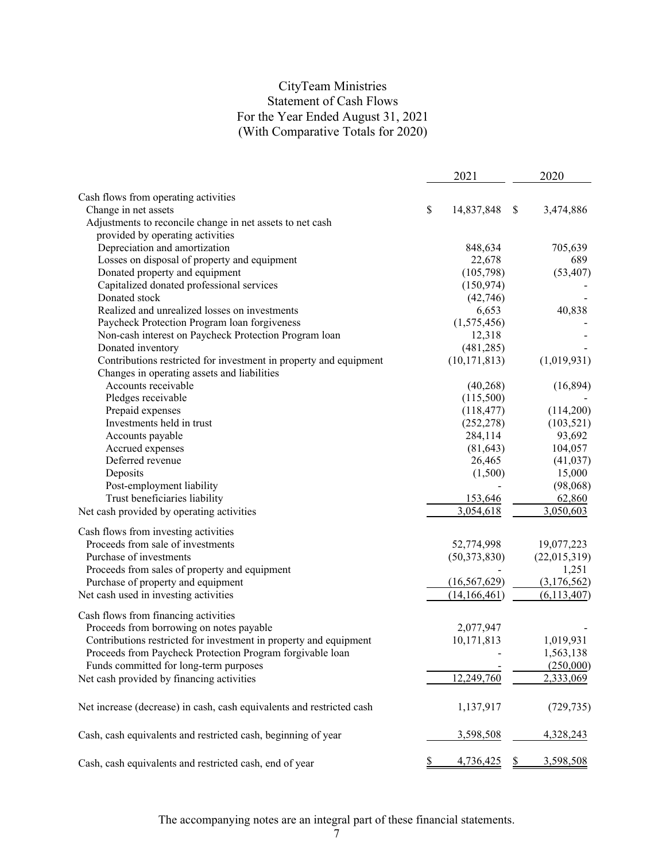# CityTeam Ministries Statement of Cash Flows For the Year Ended August 31, 2021 (With Comparative Totals for 2020)

|                                                                                                                  | 2021             | 2020             |
|------------------------------------------------------------------------------------------------------------------|------------------|------------------|
| Cash flows from operating activities                                                                             |                  |                  |
| Change in net assets                                                                                             | \$<br>14,837,848 | \$<br>3,474,886  |
| Adjustments to reconcile change in net assets to net cash                                                        |                  |                  |
| provided by operating activities                                                                                 |                  |                  |
| Depreciation and amortization                                                                                    | 848,634          | 705,639          |
| Losses on disposal of property and equipment                                                                     | 22,678           | 689              |
| Donated property and equipment                                                                                   | (105,798)        | (53, 407)        |
| Capitalized donated professional services                                                                        | (150, 974)       |                  |
| Donated stock                                                                                                    | (42,746)         |                  |
| Realized and unrealized losses on investments                                                                    | 6,653            | 40,838           |
|                                                                                                                  | (1,575,456)      |                  |
| Paycheck Protection Program loan forgiveness<br>Non-cash interest on Paycheck Protection Program loan            |                  |                  |
|                                                                                                                  | 12,318           |                  |
| Donated inventory                                                                                                | (481, 285)       |                  |
| Contributions restricted for investment in property and equipment<br>Changes in operating assets and liabilities | (10, 171, 813)   | (1,019,931)      |
| Accounts receivable                                                                                              | (40, 268)        | (16, 894)        |
| Pledges receivable                                                                                               | (115,500)        |                  |
| Prepaid expenses                                                                                                 | (118, 477)       | (114,200)        |
| Investments held in trust                                                                                        | (252, 278)       | (103, 521)       |
| Accounts payable                                                                                                 | 284,114          | 93,692           |
| Accrued expenses                                                                                                 | (81, 643)        | 104,057          |
| Deferred revenue                                                                                                 | 26,465           | (41,037)         |
| Deposits                                                                                                         | (1,500)          | 15,000           |
| Post-employment liability                                                                                        |                  | (98,068)         |
| Trust beneficiaries liability                                                                                    | 153,646          | 62,860           |
| Net cash provided by operating activities                                                                        | 3,054,618        | 3,050,603        |
| Cash flows from investing activities                                                                             |                  |                  |
| Proceeds from sale of investments                                                                                | 52,774,998       | 19,077,223       |
| Purchase of investments                                                                                          | (50, 373, 830)   | (22,015,319)     |
| Proceeds from sales of property and equipment                                                                    |                  | 1,251            |
| Purchase of property and equipment                                                                               | (16, 567, 629)   | (3,176,562)      |
| Net cash used in investing activities                                                                            | (14, 166, 461)   | (6, 113, 407)    |
| Cash flows from financing activities                                                                             |                  |                  |
| Proceeds from borrowing on notes payable                                                                         | 2,077,947        |                  |
| Contributions restricted for investment in property and equipment                                                | 10,171,813       | 1,019,931        |
| Proceeds from Paycheck Protection Program forgivable loan                                                        |                  | 1,563,138        |
| Funds committed for long-term purposes                                                                           |                  | (250,000)        |
| Net cash provided by financing activities                                                                        | 12,249,760       | 2,333,069        |
| Net increase (decrease) in cash, cash equivalents and restricted cash                                            | 1,137,917        | (729, 735)       |
| Cash, cash equivalents and restricted cash, beginning of year                                                    | 3,598,508        | 4,328,243        |
| Cash, cash equivalents and restricted cash, end of year                                                          | 4,736,425        | <u>3,598,508</u> |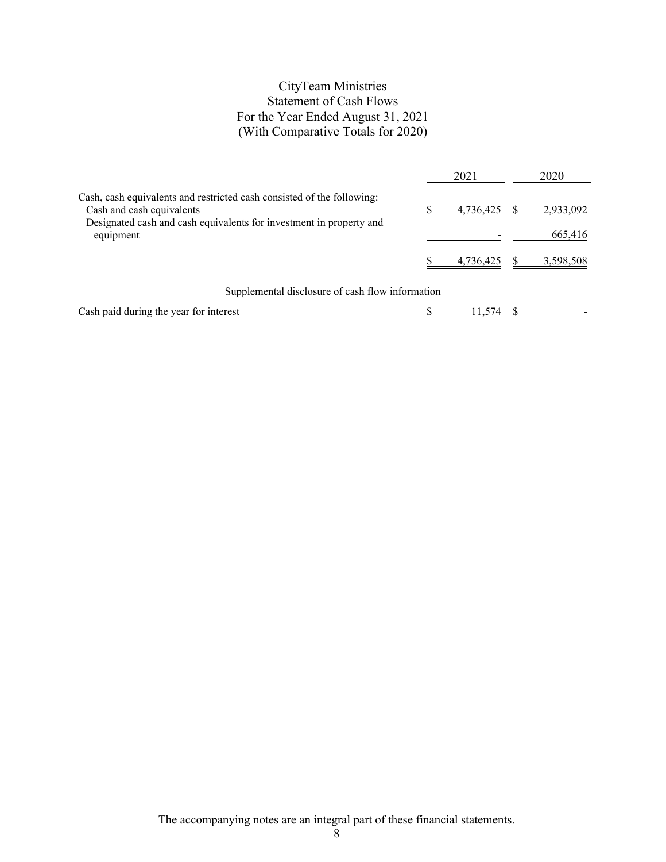# CityTeam Ministries Statement of Cash Flows For the Year Ended August 31, 2021 (With Comparative Totals for 2020)

|                                                                                                                                                                            | 2021      | 2020             |
|----------------------------------------------------------------------------------------------------------------------------------------------------------------------------|-----------|------------------|
| Cash, cash equivalents and restricted cash consisted of the following:<br>Cash and cash equivalents<br>Designated cash and cash equivalents for investment in property and | 4,736,425 | 2,933,092        |
| equipment                                                                                                                                                                  |           | 665,416          |
|                                                                                                                                                                            | 4,736,425 | <u>3,598,508</u> |
| Supplemental disclosure of cash flow information                                                                                                                           |           |                  |
| Cash paid during the year for interest                                                                                                                                     | 11.574    |                  |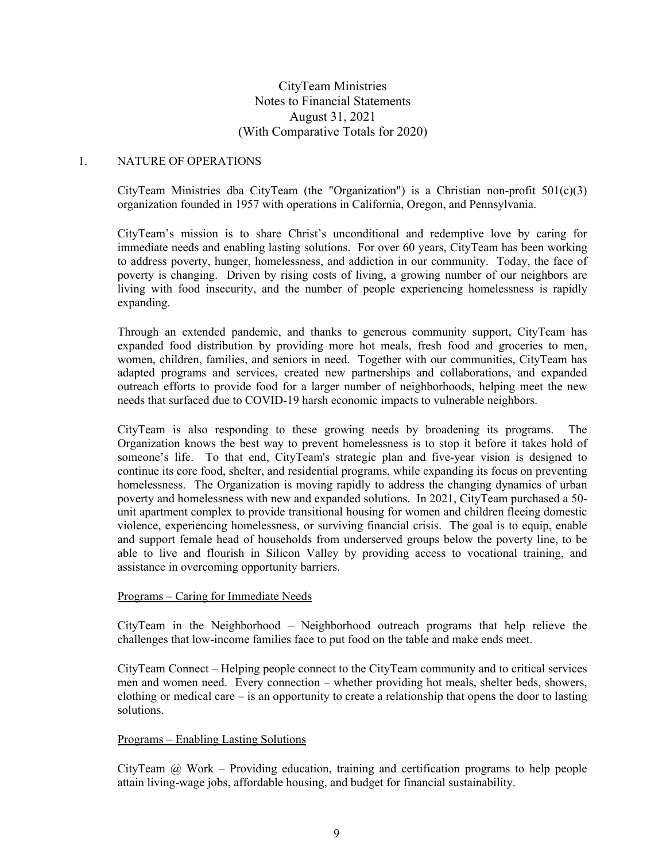## 1. NATURE OF OPERATIONS

CityTeam Ministries dba CityTeam (the "Organization") is a Christian non-profit  $501(c)(3)$ organization founded in 1957 with operations in California, Oregon, and Pennsylvania.

CityTeam's mission is to share Christ's unconditional and redemptive love by caring for immediate needs and enabling lasting solutions. For over 60 years, CityTeam has been working to address poverty, hunger, homelessness, and addiction in our community. Today, the face of poverty is changing. Driven by rising costs of living, a growing number of our neighbors are living with food insecurity, and the number of people experiencing homelessness is rapidly expanding.

Through an extended pandemic, and thanks to generous community support, CityTeam has expanded food distribution by providing more hot meals, fresh food and groceries to men, women, children, families, and seniors in need. Together with our communities, CityTeam has adapted programs and services, created new partnerships and collaborations, and expanded outreach efforts to provide food for a larger number of neighborhoods, helping meet the new needs that surfaced due to COVID-19 harsh economic impacts to vulnerable neighbors.

CityTeam is also responding to these growing needs by broadening its programs. The Organization knows the best way to prevent homelessness is to stop it before it takes hold of someone's life. To that end, CityTeam's strategic plan and five-year vision is designed to continue its core food, shelter, and residential programs, while expanding its focus on preventing homelessness. The Organization is moving rapidly to address the changing dynamics of urban poverty and homelessness with new and expanded solutions. In 2021, CityTeam purchased a 50 unit apartment complex to provide transitional housing for women and children fleeing domestic violence, experiencing homelessness, or surviving financial crisis. The goal is to equip, enable and support female head of households from underserved groups below the poverty line, to be able to live and flourish in Silicon Valley by providing access to vocational training, and assistance in overcoming opportunity barriers.

## Programs – Caring for Immediate Needs

CityTeam in the Neighborhood – Neighborhood outreach programs that help relieve the challenges that low-income families face to put food on the table and make ends meet.

CityTeam Connect – Helping people connect to the CityTeam community and to critical services men and women need. Every connection – whether providing hot meals, shelter beds, showers, clothing or medical care – is an opportunity to create a relationship that opens the door to lasting solutions.

#### Programs – Enabling Lasting Solutions

CityTeam  $\omega$  Work – Providing education, training and certification programs to help people attain living-wage jobs, affordable housing, and budget for financial sustainability.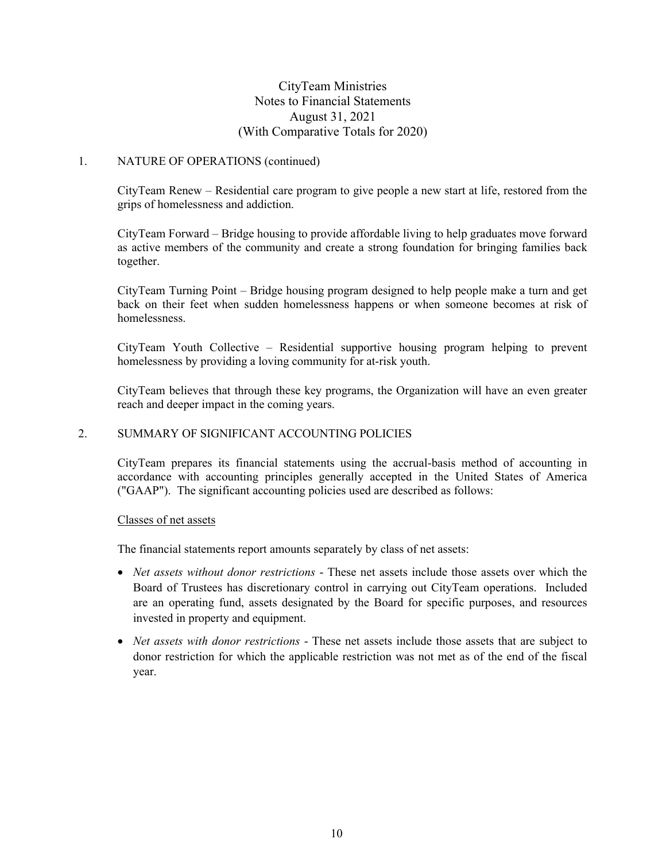## 1. NATURE OF OPERATIONS (continued)

CityTeam Renew – Residential care program to give people a new start at life, restored from the grips of homelessness and addiction.

CityTeam Forward – Bridge housing to provide affordable living to help graduates move forward as active members of the community and create a strong foundation for bringing families back together.

CityTeam Turning Point – Bridge housing program designed to help people make a turn and get back on their feet when sudden homelessness happens or when someone becomes at risk of homelessness.

CityTeam Youth Collective – Residential supportive housing program helping to prevent homelessness by providing a loving community for at-risk youth.

CityTeam believes that through these key programs, the Organization will have an even greater reach and deeper impact in the coming years.

#### 2. SUMMARY OF SIGNIFICANT ACCOUNTING POLICIES

CityTeam prepares its financial statements using the accrual-basis method of accounting in accordance with accounting principles generally accepted in the United States of America ("GAAP"). The significant accounting policies used are described as follows:

#### Classes of net assets

The financial statements report amounts separately by class of net assets:

- *Net assets without donor restrictions* These net assets include those assets over which the Board of Trustees has discretionary control in carrying out CityTeam operations. Included are an operating fund, assets designated by the Board for specific purposes, and resources invested in property and equipment.
- *Net assets with donor restrictions* These net assets include those assets that are subject to donor restriction for which the applicable restriction was not met as of the end of the fiscal year.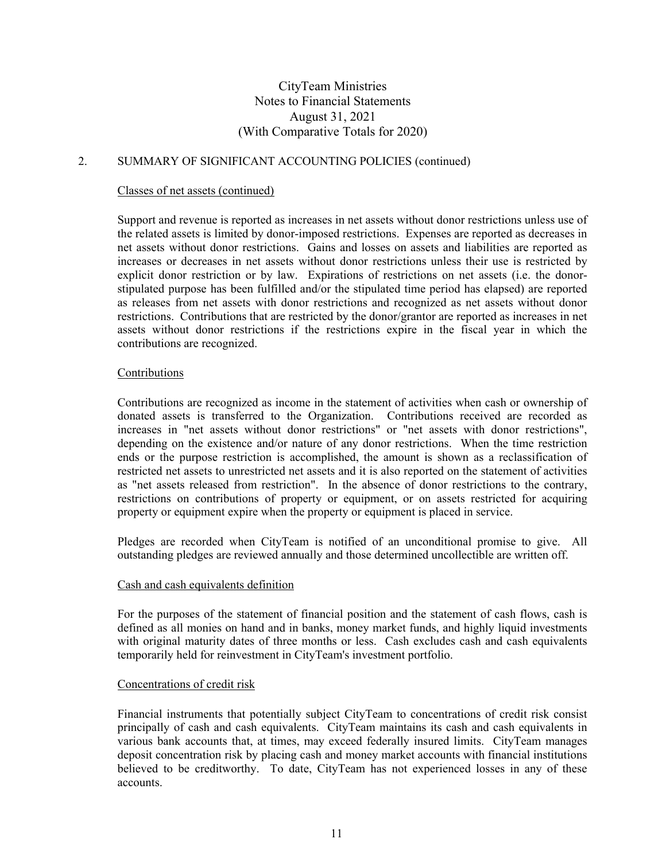## 2. SUMMARY OF SIGNIFICANT ACCOUNTING POLICIES (continued)

## Classes of net assets (continued)

Support and revenue is reported as increases in net assets without donor restrictions unless use of the related assets is limited by donor-imposed restrictions. Expenses are reported as decreases in net assets without donor restrictions. Gains and losses on assets and liabilities are reported as increases or decreases in net assets without donor restrictions unless their use is restricted by explicit donor restriction or by law. Expirations of restrictions on net assets (i.e. the donorstipulated purpose has been fulfilled and/or the stipulated time period has elapsed) are reported as releases from net assets with donor restrictions and recognized as net assets without donor restrictions. Contributions that are restricted by the donor/grantor are reported as increases in net assets without donor restrictions if the restrictions expire in the fiscal year in which the contributions are recognized.

## Contributions

Contributions are recognized as income in the statement of activities when cash or ownership of donated assets is transferred to the Organization. Contributions received are recorded as increases in "net assets without donor restrictions" or "net assets with donor restrictions", depending on the existence and/or nature of any donor restrictions. When the time restriction ends or the purpose restriction is accomplished, the amount is shown as a reclassification of restricted net assets to unrestricted net assets and it is also reported on the statement of activities as "net assets released from restriction". In the absence of donor restrictions to the contrary, restrictions on contributions of property or equipment, or on assets restricted for acquiring property or equipment expire when the property or equipment is placed in service.

Pledges are recorded when CityTeam is notified of an unconditional promise to give. All outstanding pledges are reviewed annually and those determined uncollectible are written off.

#### Cash and cash equivalents definition

For the purposes of the statement of financial position and the statement of cash flows, cash is defined as all monies on hand and in banks, money market funds, and highly liquid investments with original maturity dates of three months or less. Cash excludes cash and cash equivalents temporarily held for reinvestment in CityTeam's investment portfolio.

#### Concentrations of credit risk

Financial instruments that potentially subject CityTeam to concentrations of credit risk consist principally of cash and cash equivalents. CityTeam maintains its cash and cash equivalents in various bank accounts that, at times, may exceed federally insured limits. CityTeam manages deposit concentration risk by placing cash and money market accounts with financial institutions believed to be creditworthy. To date, CityTeam has not experienced losses in any of these accounts.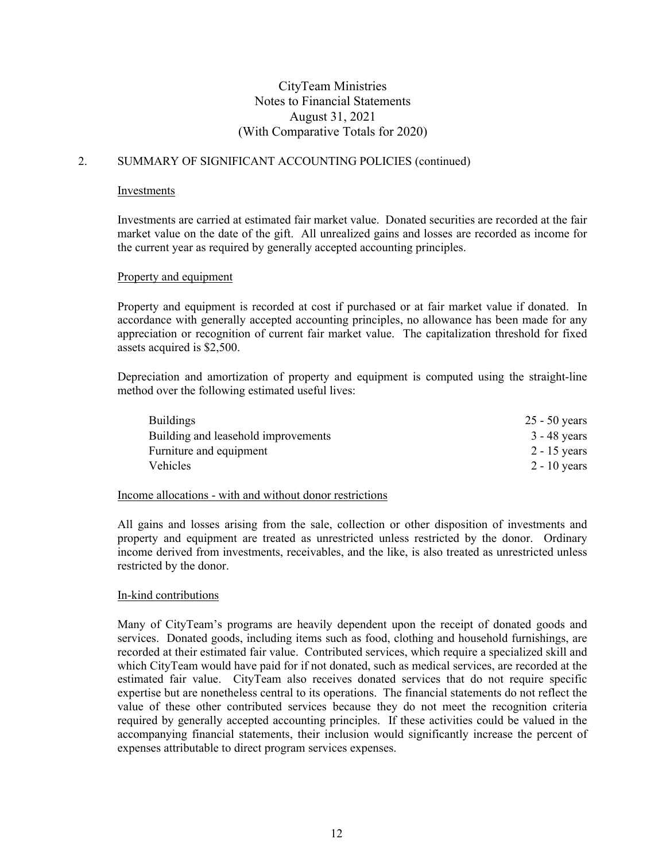## 2. SUMMARY OF SIGNIFICANT ACCOUNTING POLICIES (continued)

#### Investments

Investments are carried at estimated fair market value. Donated securities are recorded at the fair market value on the date of the gift. All unrealized gains and losses are recorded as income for the current year as required by generally accepted accounting principles.

#### Property and equipment

Property and equipment is recorded at cost if purchased or at fair market value if donated. In accordance with generally accepted accounting principles, no allowance has been made for any appreciation or recognition of current fair market value. The capitalization threshold for fixed assets acquired is \$2,500.

Depreciation and amortization of property and equipment is computed using the straight-line method over the following estimated useful lives:

| <b>Buildings</b>                    | $25 - 50$ years |
|-------------------------------------|-----------------|
| Building and leasehold improvements | $3 - 48$ years  |
| Furniture and equipment             | $2 - 15$ years  |
| Vehicles                            | $2 - 10$ years  |

#### Income allocations - with and without donor restrictions

All gains and losses arising from the sale, collection or other disposition of investments and property and equipment are treated as unrestricted unless restricted by the donor. Ordinary income derived from investments, receivables, and the like, is also treated as unrestricted unless restricted by the donor.

#### In-kind contributions

Many of CityTeam's programs are heavily dependent upon the receipt of donated goods and services. Donated goods, including items such as food, clothing and household furnishings, are recorded at their estimated fair value. Contributed services, which require a specialized skill and which CityTeam would have paid for if not donated, such as medical services, are recorded at the estimated fair value. CityTeam also receives donated services that do not require specific expertise but are nonetheless central to its operations. The financial statements do not reflect the value of these other contributed services because they do not meet the recognition criteria required by generally accepted accounting principles. If these activities could be valued in the accompanying financial statements, their inclusion would significantly increase the percent of expenses attributable to direct program services expenses.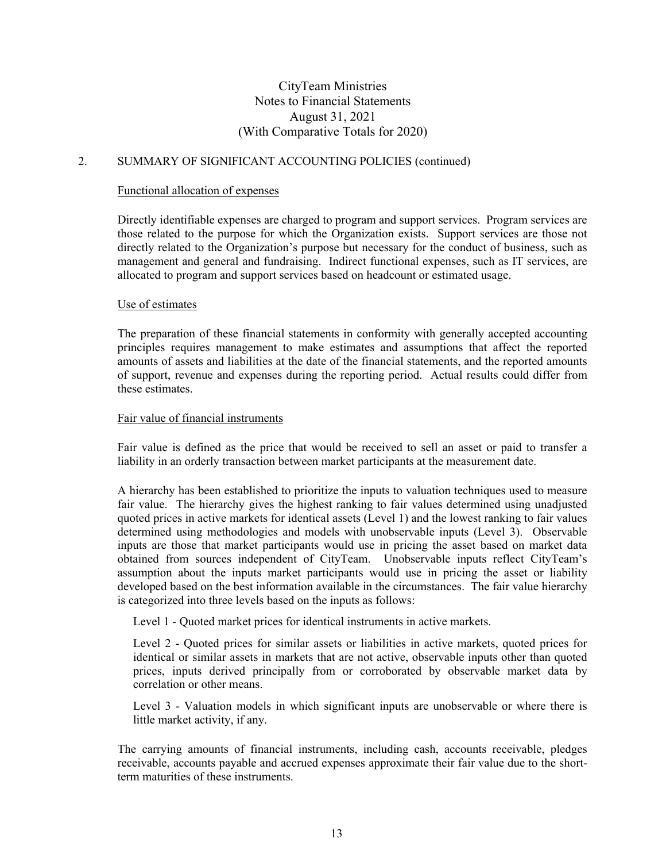## 2. SUMMARY OF SIGNIFICANT ACCOUNTING POLICIES (continued)

## Functional allocation of expenses

Directly identifiable expenses are charged to program and support services. Program services are those related to the purpose for which the Organization exists. Support services are those not directly related to the Organization's purpose but necessary for the conduct of business, such as management and general and fundraising. Indirect functional expenses, such as IT services, are allocated to program and support services based on headcount or estimated usage.

#### Use of estimates

The preparation of these financial statements in conformity with generally accepted accounting principles requires management to make estimates and assumptions that affect the reported amounts of assets and liabilities at the date of the financial statements, and the reported amounts of support, revenue and expenses during the reporting period. Actual results could differ from these estimates.

#### Fair value of financial instruments

Fair value is defined as the price that would be received to sell an asset or paid to transfer a liability in an orderly transaction between market participants at the measurement date.

A hierarchy has been established to prioritize the inputs to valuation techniques used to measure fair value. The hierarchy gives the highest ranking to fair values determined using unadjusted quoted prices in active markets for identical assets (Level 1) and the lowest ranking to fair values determined using methodologies and models with unobservable inputs (Level 3). Observable inputs are those that market participants would use in pricing the asset based on market data obtained from sources independent of CityTeam. Unobservable inputs reflect CityTeam's assumption about the inputs market participants would use in pricing the asset or liability developed based on the best information available in the circumstances. The fair value hierarchy is categorized into three levels based on the inputs as follows:

Level 1 - Quoted market prices for identical instruments in active markets.

Level 2 - Quoted prices for similar assets or liabilities in active markets, quoted prices for identical or similar assets in markets that are not active, observable inputs other than quoted prices, inputs derived principally from or corroborated by observable market data by correlation or other means.

Level 3 - Valuation models in which significant inputs are unobservable or where there is little market activity, if any.

The carrying amounts of financial instruments, including cash, accounts receivable, pledges receivable, accounts payable and accrued expenses approximate their fair value due to the shortterm maturities of these instruments.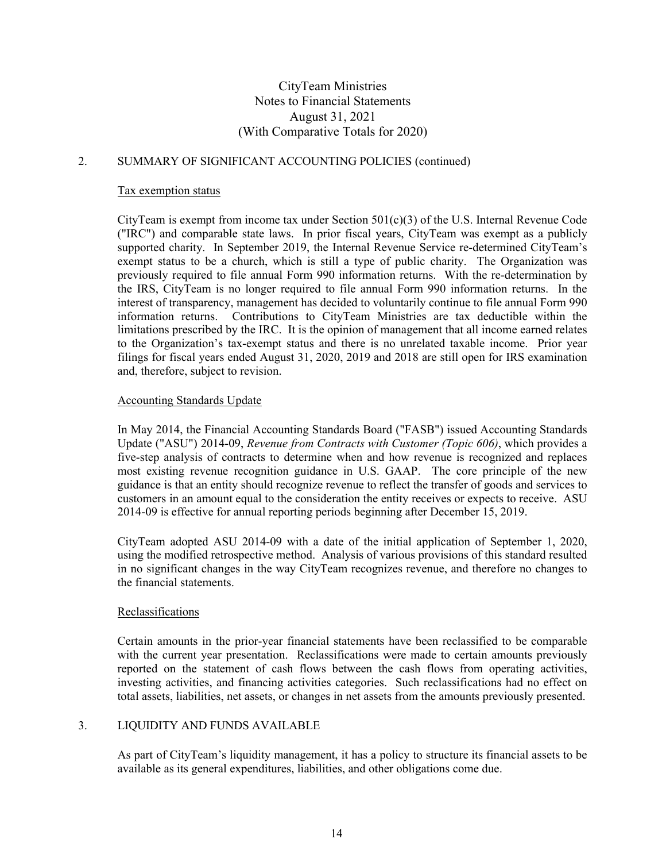## 2. SUMMARY OF SIGNIFICANT ACCOUNTING POLICIES (continued)

## Tax exemption status

CityTeam is exempt from income tax under Section  $501(c)(3)$  of the U.S. Internal Revenue Code ("IRC") and comparable state laws. In prior fiscal years, CityTeam was exempt as a publicly supported charity. In September 2019, the Internal Revenue Service re-determined CityTeam's exempt status to be a church, which is still a type of public charity. The Organization was previously required to file annual Form 990 information returns. With the re-determination by the IRS, CityTeam is no longer required to file annual Form 990 information returns. In the interest of transparency, management has decided to voluntarily continue to file annual Form 990 information returns. Contributions to CityTeam Ministries are tax deductible within the limitations prescribed by the IRC. It is the opinion of management that all income earned relates to the Organization's tax-exempt status and there is no unrelated taxable income. Prior year filings for fiscal years ended August 31, 2020, 2019 and 2018 are still open for IRS examination and, therefore, subject to revision.

## Accounting Standards Update

In May 2014, the Financial Accounting Standards Board ("FASB") issued Accounting Standards Update ("ASU") 2014-09, *Revenue from Contracts with Customer (Topic 606)*, which provides a five-step analysis of contracts to determine when and how revenue is recognized and replaces most existing revenue recognition guidance in U.S. GAAP. The core principle of the new guidance is that an entity should recognize revenue to reflect the transfer of goods and services to customers in an amount equal to the consideration the entity receives or expects to receive. ASU 2014-09 is effective for annual reporting periods beginning after December 15, 2019.

CityTeam adopted ASU 2014-09 with a date of the initial application of September 1, 2020, using the modified retrospective method. Analysis of various provisions of this standard resulted in no significant changes in the way CityTeam recognizes revenue, and therefore no changes to the financial statements.

#### Reclassifications

Certain amounts in the prior-year financial statements have been reclassified to be comparable with the current year presentation. Reclassifications were made to certain amounts previously reported on the statement of cash flows between the cash flows from operating activities, investing activities, and financing activities categories. Such reclassifications had no effect on total assets, liabilities, net assets, or changes in net assets from the amounts previously presented.

## 3. LIQUIDITY AND FUNDS AVAILABLE

As part of CityTeam's liquidity management, it has a policy to structure its financial assets to be available as its general expenditures, liabilities, and other obligations come due.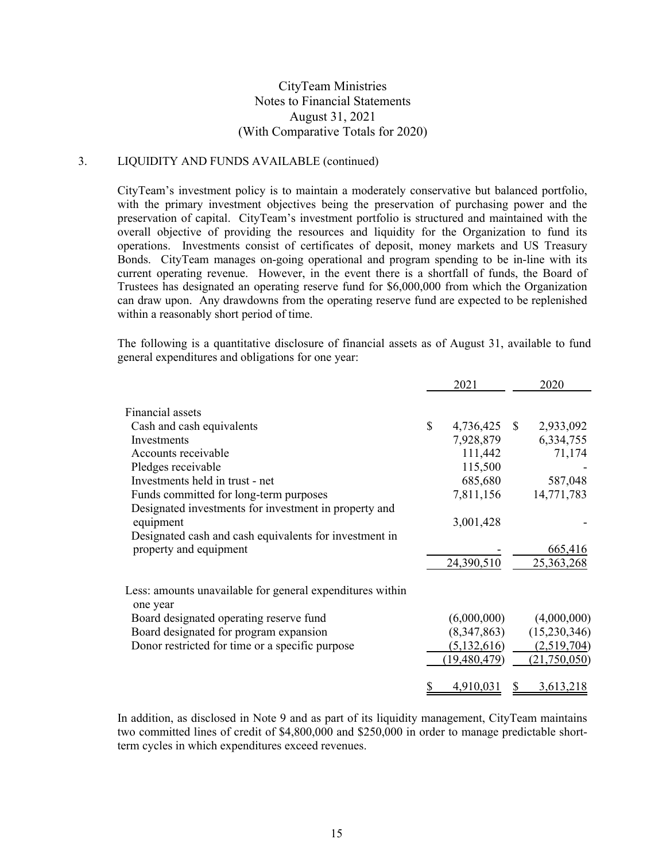## 3. LIQUIDITY AND FUNDS AVAILABLE (continued)

CityTeam's investment policy is to maintain a moderately conservative but balanced portfolio, with the primary investment objectives being the preservation of purchasing power and the preservation of capital. CityTeam's investment portfolio is structured and maintained with the overall objective of providing the resources and liquidity for the Organization to fund its operations. Investments consist of certificates of deposit, money markets and US Treasury Bonds. CityTeam manages on-going operational and program spending to be in-line with its current operating revenue. However, in the event there is a shortfall of funds, the Board of Trustees has designated an operating reserve fund for \$6,000,000 from which the Organization can draw upon. Any drawdowns from the operating reserve fund are expected to be replenished within a reasonably short period of time.

The following is a quantitative disclosure of financial assets as of August 31, available to fund general expenditures and obligations for one year:

|                                                           |              | 2021           |              | 2020         |  |
|-----------------------------------------------------------|--------------|----------------|--------------|--------------|--|
| Financial assets                                          |              |                |              |              |  |
|                                                           |              |                |              |              |  |
| Cash and cash equivalents                                 | $\mathbb{S}$ | 4,736,425      | <sup>S</sup> | 2,933,092    |  |
| Investments                                               |              | 7,928,879      |              | 6,334,755    |  |
| Accounts receivable                                       |              | 111,442        |              | 71,174       |  |
| Pledges receivable                                        |              | 115,500        |              |              |  |
| Investments held in trust - net                           |              | 685,680        |              | 587,048      |  |
| Funds committed for long-term purposes                    |              | 7,811,156      |              | 14,771,783   |  |
| Designated investments for investment in property and     |              |                |              |              |  |
| equipment                                                 |              | 3,001,428      |              |              |  |
| Designated cash and cash equivalents for investment in    |              |                |              |              |  |
| property and equipment                                    |              |                |              | 665,416      |  |
|                                                           |              |                |              |              |  |
|                                                           |              | 24,390,510     |              | 25,363,268   |  |
| Less: amounts unavailable for general expenditures within |              |                |              |              |  |
| one year                                                  |              |                |              |              |  |
| Board designated operating reserve fund                   |              | (6,000,000)    |              | (4,000,000)  |  |
| Board designated for program expansion                    |              | (8,347,863)    |              | (15,230,346) |  |
| Donor restricted for time or a specific purpose           |              | (5, 132, 616)  |              | (2,519,704)  |  |
|                                                           |              |                |              |              |  |
|                                                           |              | (19, 480, 479) |              | (21,750,050) |  |
|                                                           | \$           | 4,910,031      | S            | 3,613,218    |  |

In addition, as disclosed in Note 9 and as part of its liquidity management, CityTeam maintains two committed lines of credit of \$4,800,000 and \$250,000 in order to manage predictable shortterm cycles in which expenditures exceed revenues.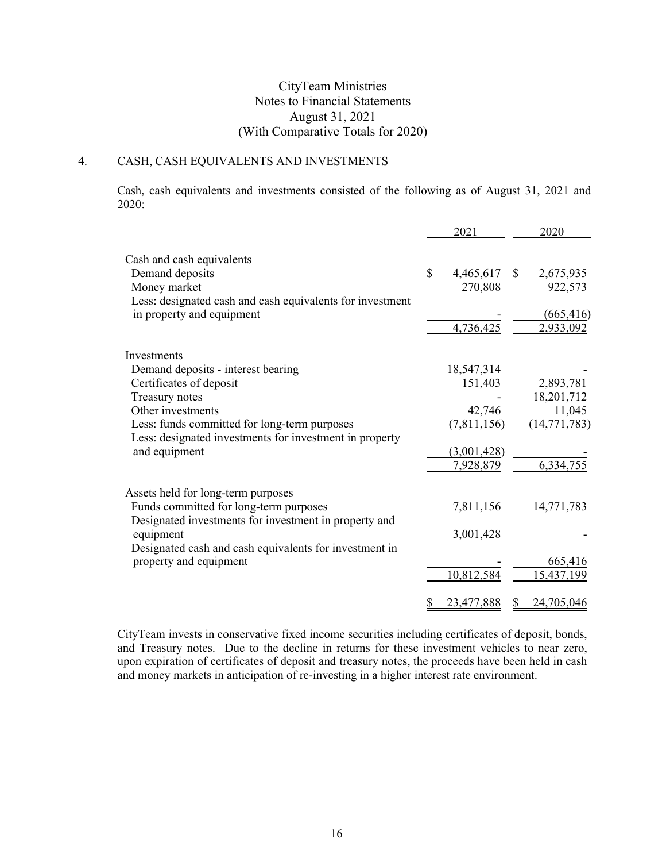## 4. CASH, CASH EQUIVALENTS AND INVESTMENTS

Cash, cash equivalents and investments consisted of the following as of August 31, 2021 and 2020:

|                                                                                                                                                                                                                                  | 2021                                                                       |              | 2020                                                             |
|----------------------------------------------------------------------------------------------------------------------------------------------------------------------------------------------------------------------------------|----------------------------------------------------------------------------|--------------|------------------------------------------------------------------|
| Cash and cash equivalents<br>Demand deposits<br>Money market<br>Less: designated cash and cash equivalents for investment<br>in property and equipment                                                                           | \$<br>4,465,617<br>270,808<br>4,736,425                                    | $\mathbb{S}$ | 2,675,935<br>922,573<br>(665, 416)<br>2,933,092                  |
| Investments                                                                                                                                                                                                                      |                                                                            |              |                                                                  |
| Demand deposits - interest bearing<br>Certificates of deposit<br>Treasury notes<br>Other investments<br>Less: funds committed for long-term purposes<br>Less: designated investments for investment in property<br>and equipment | 18,547,314<br>151,403<br>42,746<br>(7,811,156)<br>(3,001,428)<br>7,928,879 |              | 2,893,781<br>18,201,712<br>11,045<br>(14, 771, 783)<br>6,334,755 |
| Assets held for long-term purposes<br>Funds committed for long-term purposes<br>Designated investments for investment in property and<br>equipment                                                                               | 7,811,156<br>3,001,428                                                     |              | 14,771,783                                                       |
| Designated cash and cash equivalents for investment in<br>property and equipment                                                                                                                                                 | 10,812,584                                                                 |              | 665,416<br>15,437,199                                            |
|                                                                                                                                                                                                                                  | 23,477,888                                                                 |              | 24,705,046                                                       |

CityTeam invests in conservative fixed income securities including certificates of deposit, bonds, and Treasury notes. Due to the decline in returns for these investment vehicles to near zero, upon expiration of certificates of deposit and treasury notes, the proceeds have been held in cash and money markets in anticipation of re-investing in a higher interest rate environment.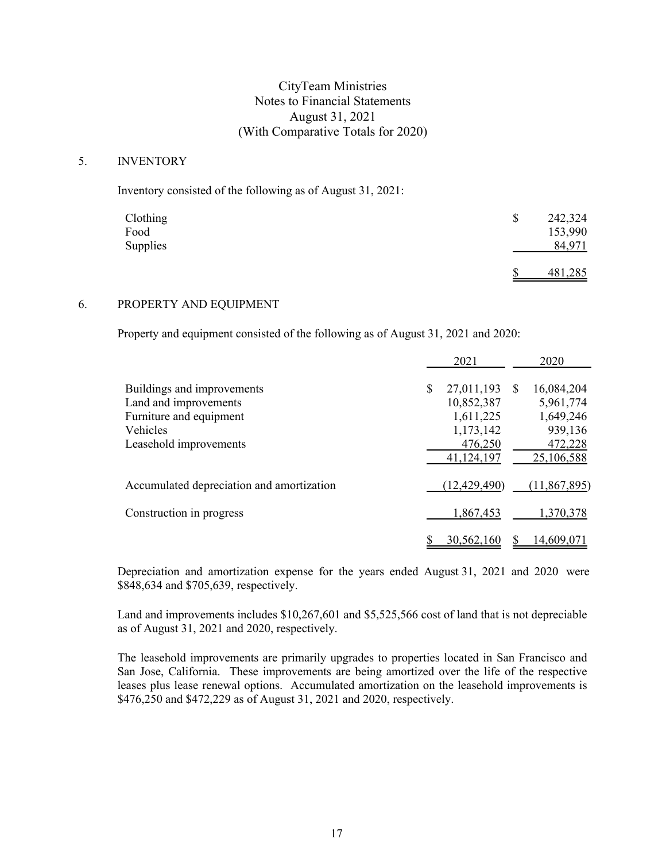## 5. INVENTORY

Inventory consisted of the following as of August 31, 2021:

| Clothing<br>Food | 242,324<br>153,990 |
|------------------|--------------------|
| Supplies         | 84,971             |
|                  | 481,285<br>D       |

## 6. PROPERTY AND EQUIPMENT

Property and equipment consisted of the following as of August 31, 2021 and 2020:

|                                           |   | 2021           |              | 2020         |
|-------------------------------------------|---|----------------|--------------|--------------|
| Buildings and improvements                | S | 27,011,193     | <sup>S</sup> | 16,084,204   |
| Land and improvements                     |   | 10,852,387     |              | 5,961,774    |
| Furniture and equipment                   |   | 1,611,225      |              | 1,649,246    |
| Vehicles                                  |   | 1,173,142      |              | 939,136      |
| Leasehold improvements                    |   | 476,250        |              | 472,228      |
|                                           |   | 41,124,197     |              | 25,106,588   |
| Accumulated depreciation and amortization |   | (12, 429, 490) |              | (11,867,895) |
| Construction in progress                  |   | 1,867,453      |              | 1,370,378    |
|                                           |   | 30,562,160     |              | 14,609,071   |

Depreciation and amortization expense for the years ended August 31, 2021 and 2020 were \$848,634 and \$705,639, respectively.

Land and improvements includes \$10,267,601 and \$5,525,566 cost of land that is not depreciable as of August 31, 2021 and 2020, respectively.

The leasehold improvements are primarily upgrades to properties located in San Francisco and San Jose, California. These improvements are being amortized over the life of the respective leases plus lease renewal options. Accumulated amortization on the leasehold improvements is \$476,250 and \$472,229 as of August 31, 2021 and 2020, respectively.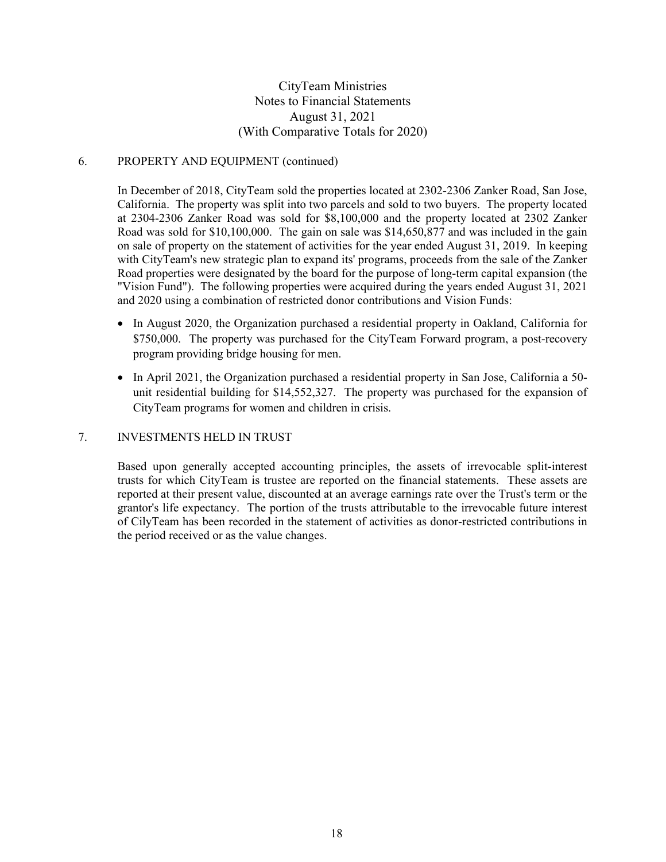## 6. PROPERTY AND EQUIPMENT (continued)

In December of 2018, CityTeam sold the properties located at 2302-2306 Zanker Road, San Jose, California. The property was split into two parcels and sold to two buyers. The property located at 2304-2306 Zanker Road was sold for \$8,100,000 and the property located at 2302 Zanker Road was sold for \$10,100,000. The gain on sale was \$14,650,877 and was included in the gain on sale of property on the statement of activities for the year ended August 31, 2019. In keeping with CityTeam's new strategic plan to expand its' programs, proceeds from the sale of the Zanker Road properties were designated by the board for the purpose of long-term capital expansion (the "Vision Fund"). The following properties were acquired during the years ended August 31, 2021 and 2020 using a combination of restricted donor contributions and Vision Funds:

- In August 2020, the Organization purchased a residential property in Oakland, California for \$750,000. The property was purchased for the CityTeam Forward program, a post-recovery program providing bridge housing for men.
- In April 2021, the Organization purchased a residential property in San Jose, California a 50 unit residential building for \$14,552,327. The property was purchased for the expansion of CityTeam programs for women and children in crisis.

## 7. INVESTMENTS HELD IN TRUST

Based upon generally accepted accounting principles, the assets of irrevocable split-interest trusts for which CityTeam is trustee are reported on the financial statements. These assets are reported at their present value, discounted at an average earnings rate over the Trust's term or the grantor's life expectancy. The portion of the trusts attributable to the irrevocable future interest of CilyTeam has been recorded in the statement of activities as donor-restricted contributions in the period received or as the value changes.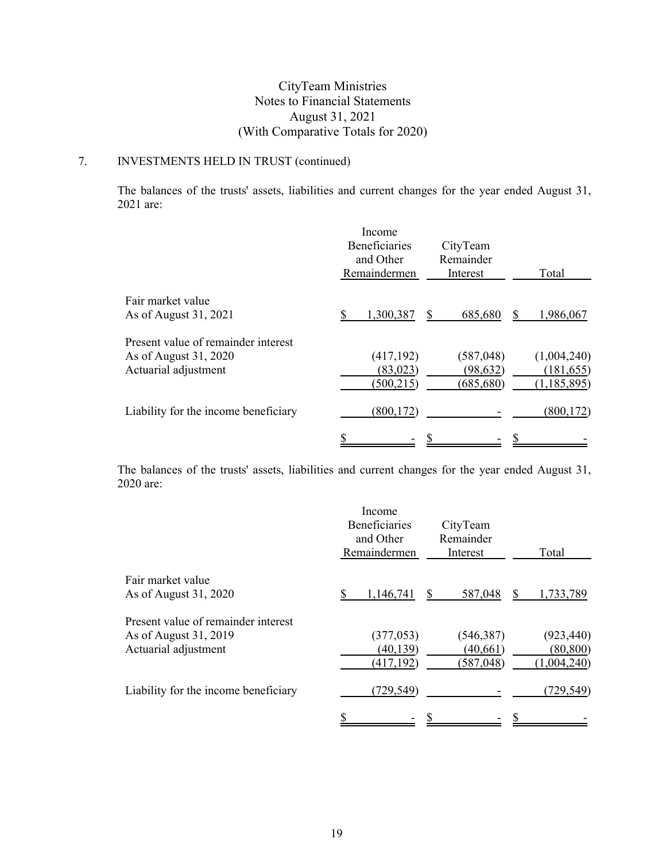## 7. INVESTMENTS HELD IN TRUST (continued)

The balances of the trusts' assets, liabilities and current changes for the year ended August 31, 2021 are:

|                                                                                      | Income<br>Beneficiaries<br>and Other<br>Remaindermen |   | CityTeam<br>Remainder<br>Interest     |    | Total                                      |
|--------------------------------------------------------------------------------------|------------------------------------------------------|---|---------------------------------------|----|--------------------------------------------|
| Fair market value<br>As of August 31, 2021                                           | 1,300,387                                            | S | 685,680                               | -S | 1,986,067                                  |
| Present value of remainder interest<br>As of August 31, 2020<br>Actuarial adjustment | (417, 192)<br>(83, 023)<br>(500, 215)                |   | (587, 048)<br>(98, 632)<br>(685, 680) |    | (1,004,240)<br>(181, 655)<br>(1, 185, 895) |
| Liability for the income beneficiary                                                 | (800, 172)                                           |   |                                       |    | (800, 172)                                 |

The balances of the trusts' assets, liabilities and current changes for the year ended August 31, 2020 are:

|                                                                                      | Income<br><b>Beneficiaries</b><br>and Other<br>Remaindermen | CityTeam<br>Remainder<br>Interest |                                      |              | Total                                  |
|--------------------------------------------------------------------------------------|-------------------------------------------------------------|-----------------------------------|--------------------------------------|--------------|----------------------------------------|
| Fair market value<br>As of August 31, 2020                                           | 1,146,741                                                   | S                                 | 587,048                              | <sup>8</sup> | 1,733,789                              |
| Present value of remainder interest<br>As of August 31, 2019<br>Actuarial adjustment | (377, 053)<br>(40,139)<br>(417, 192)                        |                                   | (546, 387)<br>(40, 661)<br>(587,048) |              | (923, 440)<br>(80, 800)<br>(1,004,240) |
| Liability for the income beneficiary                                                 | (729, 549)                                                  |                                   |                                      |              | (729, 549)                             |
|                                                                                      |                                                             |                                   |                                      |              |                                        |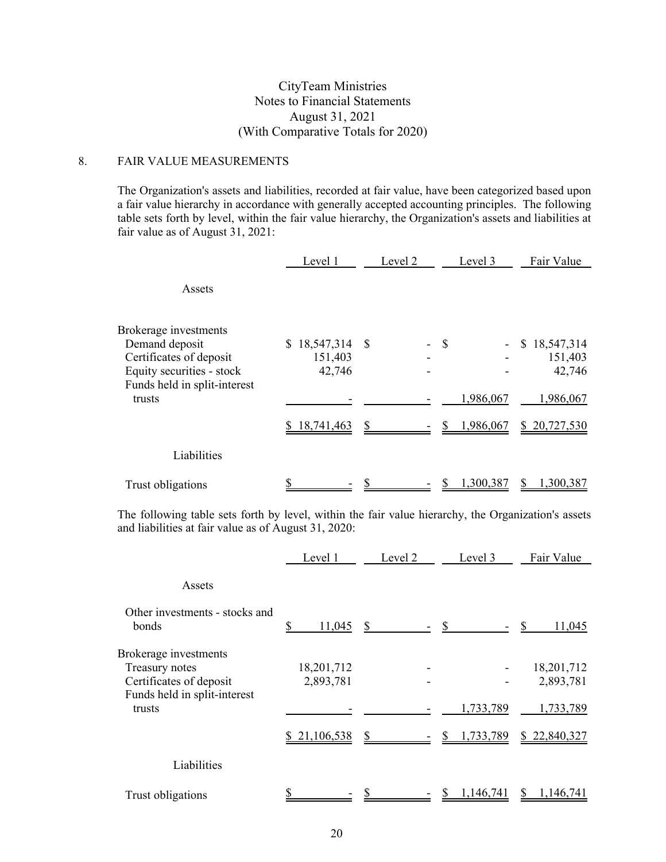#### 8. FAIR VALUE MEASUREMENTS

The Organization's assets and liabilities, recorded at fair value, have been categorized based upon a fair value hierarchy in accordance with generally accepted accounting principles. The following table sets forth by level, within the fair value hierarchy, the Organization's assets and liabilities at fair value as of August 31, 2021:

|                              | Level 1          | Level 2 | Level 3   | Fair Value   |
|------------------------------|------------------|---------|-----------|--------------|
| Assets                       |                  |         |           |              |
| Brokerage investments        |                  |         |           |              |
| Demand deposit               | 18,547,314<br>S. | - \$    | \$        | \$18,547,314 |
| Certificates of deposit      | 151,403          |         |           | 151,403      |
| Equity securities - stock    | 42,746           |         |           | 42,746       |
| Funds held in split-interest |                  |         |           |              |
| trusts                       |                  |         | 1,986,067 | 1,986,067    |
|                              | \$18,741,463     |         | 1,986,067 | \$20,727,530 |
| Liabilities                  |                  |         |           |              |
| Trust obligations            |                  |         | 1,300,387 | 1,300,387    |

The following table sets forth by level, within the fair value hierarchy, the Organization's assets and liabilities at fair value as of August 31, 2020:

|                                                                    | Level 1                 | Level 2 | Level 3      | Fair Value              |
|--------------------------------------------------------------------|-------------------------|---------|--------------|-------------------------|
| Assets                                                             |                         |         |              |                         |
| Other investments - stocks and<br>bonds                            | 11,045                  | \$      | $\mathbb{S}$ | 11,045                  |
| Brokerage investments<br>Treasury notes<br>Certificates of deposit | 18,201,712<br>2,893,781 |         |              | 18,201,712<br>2,893,781 |
| Funds held in split-interest<br>trusts                             |                         |         | 1,733,789    | 1,733,789               |
|                                                                    | \$21,106,538            |         | 1,733,789    | \$22,840,327            |
| Liabilities                                                        |                         |         |              |                         |
| Trust obligations                                                  |                         |         | 1.146.741    | 1.146,741               |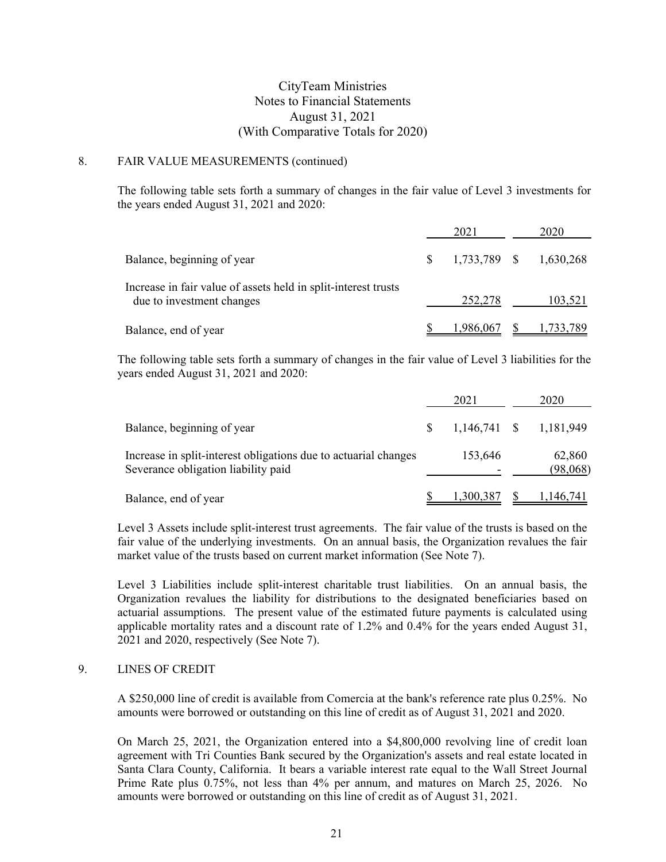## 8. FAIR VALUE MEASUREMENTS (continued)

The following table sets forth a summary of changes in the fair value of Level 3 investments for the years ended August 31, 2021 and 2020:

|                                                                                             | 2021         | 2020      |
|---------------------------------------------------------------------------------------------|--------------|-----------|
| Balance, beginning of year                                                                  | 1,733,789 \$ | 1,630,268 |
| Increase in fair value of assets held in split-interest trusts<br>due to investment changes | 252,278      | 103,521   |
| Balance, end of year                                                                        | 1,986,067    | 1,733,789 |

The following table sets forth a summary of changes in the fair value of Level 3 liabilities for the years ended August 31, 2021 and 2020:

|                                                                                                        | 2021      | 2020                   |
|--------------------------------------------------------------------------------------------------------|-----------|------------------------|
| Balance, beginning of year                                                                             |           | 1,146,741 \$ 1,181,949 |
| Increase in split-interest obligations due to actuarial changes<br>Severance obligation liability paid | 153,646   | 62,860<br>(98,068)     |
| Balance, end of year                                                                                   | 1,300,387 | 1,146,741              |

Level 3 Assets include split-interest trust agreements. The fair value of the trusts is based on the fair value of the underlying investments. On an annual basis, the Organization revalues the fair market value of the trusts based on current market information (See Note 7).

Level 3 Liabilities include split-interest charitable trust liabilities. On an annual basis, the Organization revalues the liability for distributions to the designated beneficiaries based on actuarial assumptions. The present value of the estimated future payments is calculated using applicable mortality rates and a discount rate of 1.2% and 0.4% for the years ended August 31, 2021 and 2020, respectively (See Note 7).

#### 9. LINES OF CREDIT

A \$250,000 line of credit is available from Comercia at the bank's reference rate plus 0.25%. No amounts were borrowed or outstanding on this line of credit as of August 31, 2021 and 2020.

On March 25, 2021, the Organization entered into a \$4,800,000 revolving line of credit loan agreement with Tri Counties Bank secured by the Organization's assets and real estate located in Santa Clara County, California. It bears a variable interest rate equal to the Wall Street Journal Prime Rate plus 0.75%, not less than 4% per annum, and matures on March 25, 2026. No amounts were borrowed or outstanding on this line of credit as of August 31, 2021.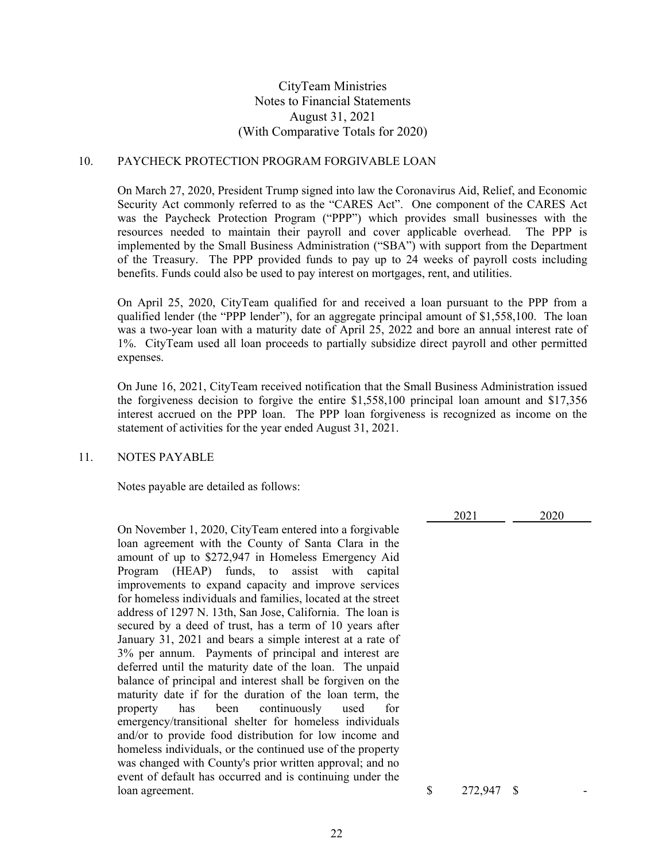## 10. PAYCHECK PROTECTION PROGRAM FORGIVABLE LOAN

On March 27, 2020, President Trump signed into law the Coronavirus Aid, Relief, and Economic Security Act commonly referred to as the "CARES Act". One component of the CARES Act was the Paycheck Protection Program ("PPP") which provides small businesses with the resources needed to maintain their payroll and cover applicable overhead. The PPP is implemented by the Small Business Administration ("SBA") with support from the Department of the Treasury. The PPP provided funds to pay up to 24 weeks of payroll costs including benefits. Funds could also be used to pay interest on mortgages, rent, and utilities.

On April 25, 2020, CityTeam qualified for and received a loan pursuant to the PPP from a qualified lender (the "PPP lender"), for an aggregate principal amount of \$1,558,100. The loan was a two-year loan with a maturity date of April 25, 2022 and bore an annual interest rate of 1%. CityTeam used all loan proceeds to partially subsidize direct payroll and other permitted expenses.

On June 16, 2021, CityTeam received notification that the Small Business Administration issued the forgiveness decision to forgive the entire \$1,558,100 principal loan amount and \$17,356 interest accrued on the PPP loan. The PPP loan forgiveness is recognized as income on the statement of activities for the year ended August 31, 2021.

22

## 11. NOTES PAYABLE

Notes payable are detailed as follows:

On November 1, 2020, CityTeam entered into a forgivable loan agreement with the County of Santa Clara in the amount of up to \$272,947 in Homeless Emergency Aid Program (HEAP) funds, to assist with capital improvements to expand capacity and improve services for homeless individuals and families, located at the street address of 1297 N. 13th, San Jose, California. The loan is secured by a deed of trust, has a term of 10 years after January 31, 2021 and bears a simple interest at a rate of 3% per annum. Payments of principal and interest are deferred until the maturity date of the loan. The unpaid balance of principal and interest shall be forgiven on the maturity date if for the duration of the loan term, the property has been continuously used for emergency/transitional shelter for homeless individuals and/or to provide food distribution for low income and homeless individuals, or the continued use of the property was changed with County's prior written approval; and no event of default has occurred and is continuing under the loan agreement.

|                           | 2021       | 2020 |  |
|---------------------------|------------|------|--|
|                           |            |      |  |
|                           |            |      |  |
|                           |            |      |  |
|                           |            |      |  |
|                           |            |      |  |
|                           |            |      |  |
|                           |            |      |  |
|                           |            |      |  |
| $\boldsymbol{\mathsf{S}}$ | 272,947 \$ |      |  |
|                           |            |      |  |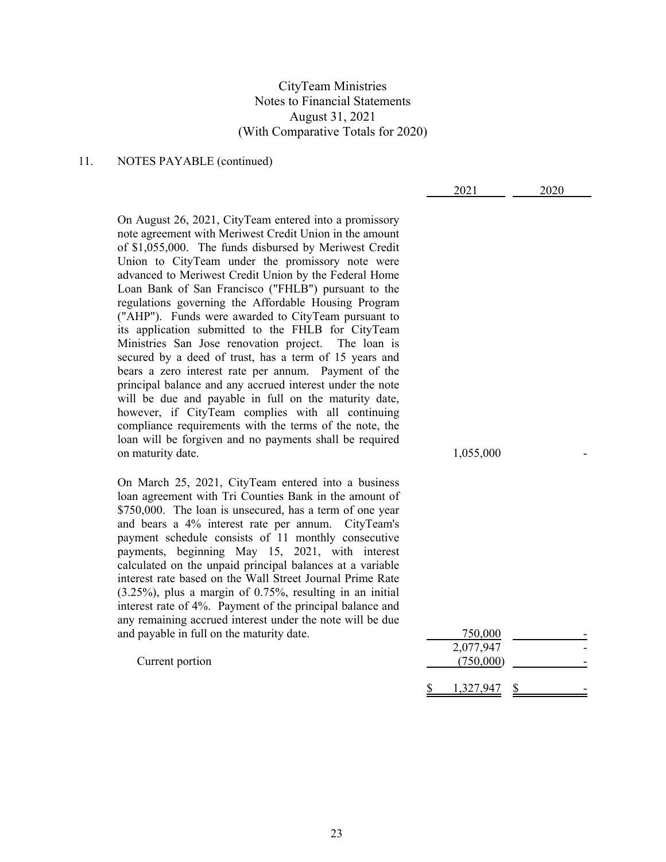## 11. NOTES PAYABLE (continued)

On August 26, 2021, CityTeam entered into a promissory note agreement with Meriwest Credit Union in the amount of \$1,055,000. The funds disbursed by Meriwest Credit Union to CityTeam under the promissory note were advanced to Meriwest Credit Union by the Federal Home Loan Bank of San Francisco ("FHLB") pursuant to the regulations governing the Affordable Housing Program ("AHP"). Funds were awarded to CityTeam pursuant to its application submitted to the FHLB for CityTeam Ministries San Jose renovation project. The loan is secured by a deed of trust, has a term of 15 years and bears a zero interest rate per annum. Payment of the principal balance and any accrued interest under the note will be due and payable in full on the maturity date, however, if CityTeam complies with all continuing compliance requirements with the terms of the note, the loan will be forgiven and no payments shall be required on maturity date.  $1,055,000$ 

On March 25, 2021, CityTeam entered into a business loan agreement with Tri Counties Bank in the amount of \$750,000. The loan is unsecured, has a term of one year and bears a 4% interest rate per annum. CityTeam's payment schedule consists of 11 monthly consecutive payments, beginning May 15, 2021, with interest calculated on the unpaid principal balances at a variable interest rate based on the Wall Street Journal Prime Rate (3.25%), plus a margin of 0.75%, resulting in an initial interest rate of 4%. Payment of the principal balance and any remaining accrued interest under the note will be due and payable in full on the maturity date.

Current portion

2021 2020

| 750,000<br>2,077,947         |  |
|------------------------------|--|
| \$<br>(750,000)<br>1.327.947 |  |
|                              |  |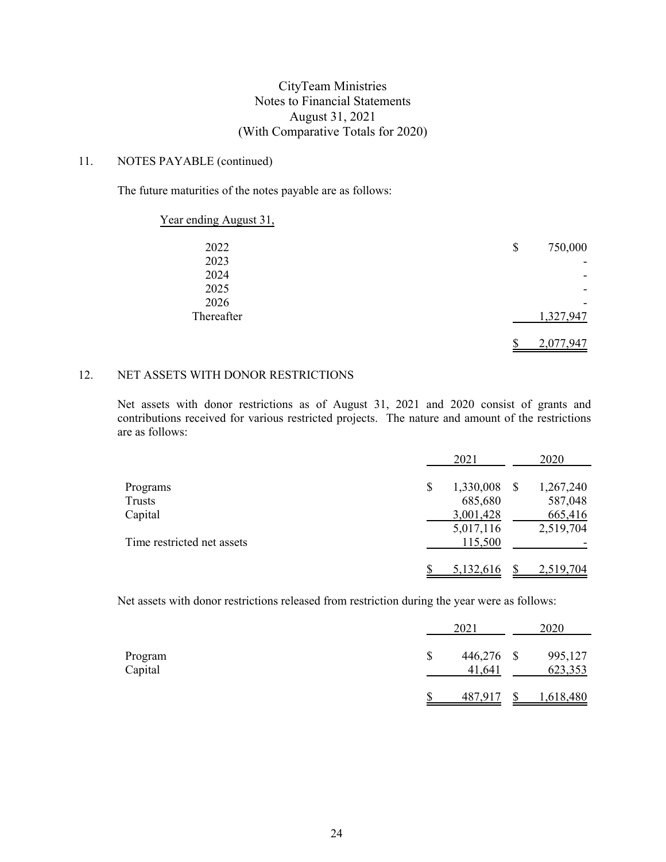## 11. NOTES PAYABLE (continued)

The future maturities of the notes payable are as follows:

| Year ending August 31, |                          |
|------------------------|--------------------------|
| 2022                   | \$<br>750,000            |
| 2023                   |                          |
| 2024                   |                          |
| 2025                   | $\overline{\phantom{0}}$ |
| 2026                   | -                        |
| Thereafter             | 1,327,947                |
|                        | 2,077,947                |

#### 12. NET ASSETS WITH DONOR RESTRICTIONS

Net assets with donor restrictions as of August 31, 2021 and 2020 consist of grants and contributions received for various restricted projects. The nature and amount of the restrictions are as follows:

|                            |   | 2021      | 2020      |
|----------------------------|---|-----------|-----------|
| Programs                   | S | 1,330,008 | 1,267,240 |
| Trusts                     |   | 685,680   | 587,048   |
| Capital                    |   | 3,001,428 | 665,416   |
|                            |   | 5,017,116 | 2,519,704 |
| Time restricted net assets |   | 115,500   |           |
|                            |   |           |           |
|                            |   | 5,132,616 | 2,519,704 |

Net assets with donor restrictions released from restriction during the year were as follows:

|                    | 2021                       | 2020               |
|--------------------|----------------------------|--------------------|
| Program<br>Capital | \$<br>446,276 \$<br>41,641 | 995,127<br>623,353 |
|                    | 487,917                    | \$<br>1,618,480    |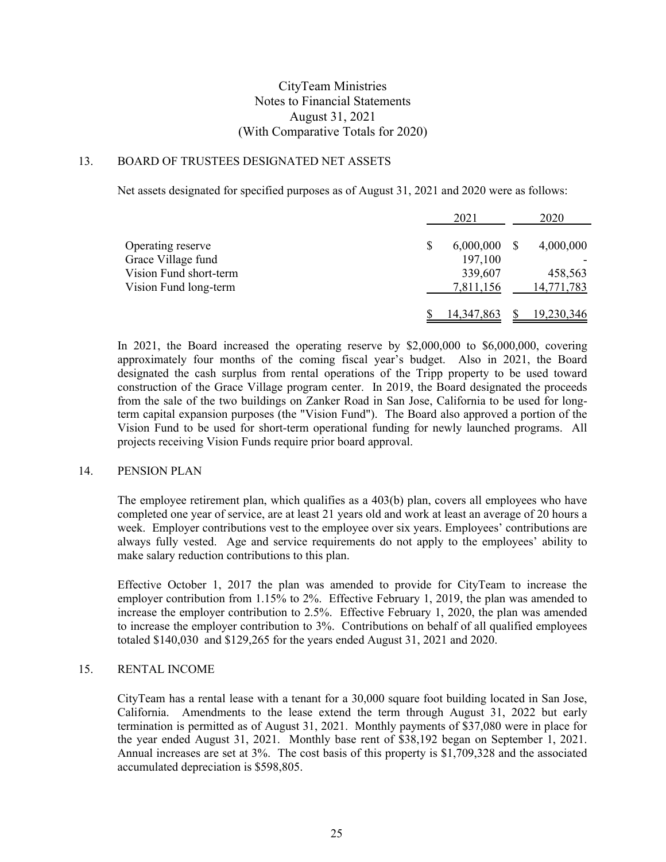## 13. BOARD OF TRUSTEES DESIGNATED NET ASSETS

Net assets designated for specified purposes as of August 31, 2021 and 2020 were as follows:

|                        | 2021         | 2020       |
|------------------------|--------------|------------|
| Operating reserve      | 6,000,000    | 4,000,000  |
| Grace Village fund     | 197,100      |            |
| Vision Fund short-term | 339,607      | 458,563    |
| Vision Fund long-term  | 7,811,156    | 14,771,783 |
|                        | 14, 347, 863 | 19,230,346 |

In 2021, the Board increased the operating reserve by \$2,000,000 to \$6,000,000, covering approximately four months of the coming fiscal year's budget. Also in 2021, the Board designated the cash surplus from rental operations of the Tripp property to be used toward construction of the Grace Village program center. In 2019, the Board designated the proceeds from the sale of the two buildings on Zanker Road in San Jose, California to be used for longterm capital expansion purposes (the "Vision Fund"). The Board also approved a portion of the Vision Fund to be used for short-term operational funding for newly launched programs. All projects receiving Vision Funds require prior board approval.

#### 14. PENSION PLAN

The employee retirement plan, which qualifies as a 403(b) plan, covers all employees who have completed one year of service, are at least 21 years old and work at least an average of 20 hours a week. Employer contributions vest to the employee over six years. Employees' contributions are always fully vested. Age and service requirements do not apply to the employees' ability to make salary reduction contributions to this plan.

Effective October 1, 2017 the plan was amended to provide for CityTeam to increase the employer contribution from 1.15% to 2%. Effective February 1, 2019, the plan was amended to increase the employer contribution to 2.5%. Effective February 1, 2020, the plan was amended to increase the employer contribution to 3%. Contributions on behalf of all qualified employees totaled \$140,030 and \$129,265 for the years ended August 31, 2021 and 2020.

#### 15. RENTAL INCOME

CityTeam has a rental lease with a tenant for a 30,000 square foot building located in San Jose, California. Amendments to the lease extend the term through August 31, 2022 but early termination is permitted as of August 31, 2021. Monthly payments of \$37,080 were in place for the year ended August 31, 2021. Monthly base rent of \$38,192 began on September 1, 2021. Annual increases are set at 3%. The cost basis of this property is \$1,709,328 and the associated accumulated depreciation is \$598,805.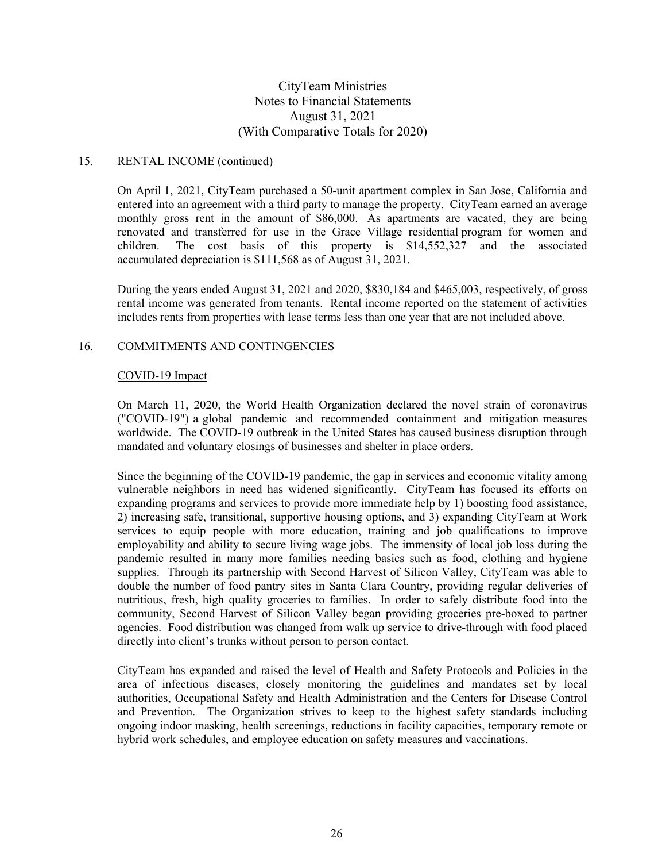## 15. RENTAL INCOME (continued)

On April 1, 2021, CityTeam purchased a 50-unit apartment complex in San Jose, California and entered into an agreement with a third party to manage the property. CityTeam earned an average monthly gross rent in the amount of \$86,000. As apartments are vacated, they are being renovated and transferred for use in the Grace Village residential program for women and children. The cost basis of this property is \$14,552,327 and the associated accumulated depreciation is \$111,568 as of August 31, 2021.

During the years ended August 31, 2021 and 2020, \$830,184 and \$465,003, respectively, of gross rental income was generated from tenants. Rental income reported on the statement of activities includes rents from properties with lease terms less than one year that are not included above.

## 16. COMMITMENTS AND CONTINGENCIES

#### COVID-19 Impact

On March 11, 2020, the World Health Organization declared the novel strain of coronavirus ("COVID-19") a global pandemic and recommended containment and mitigation measures worldwide. The COVID-19 outbreak in the United States has caused business disruption through mandated and voluntary closings of businesses and shelter in place orders.

Since the beginning of the COVID-19 pandemic, the gap in services and economic vitality among vulnerable neighbors in need has widened significantly. CityTeam has focused its efforts on expanding programs and services to provide more immediate help by 1) boosting food assistance, 2) increasing safe, transitional, supportive housing options, and 3) expanding CityTeam at Work services to equip people with more education, training and job qualifications to improve employability and ability to secure living wage jobs. The immensity of local job loss during the pandemic resulted in many more families needing basics such as food, clothing and hygiene supplies. Through its partnership with Second Harvest of Silicon Valley, CityTeam was able to double the number of food pantry sites in Santa Clara Country, providing regular deliveries of nutritious, fresh, high quality groceries to families. In order to safely distribute food into the community, Second Harvest of Silicon Valley began providing groceries pre-boxed to partner agencies. Food distribution was changed from walk up service to drive-through with food placed directly into client's trunks without person to person contact.

CityTeam has expanded and raised the level of Health and Safety Protocols and Policies in the area of infectious diseases, closely monitoring the guidelines and mandates set by local authorities, Occupational Safety and Health Administration and the Centers for Disease Control and Prevention. The Organization strives to keep to the highest safety standards including ongoing indoor masking, health screenings, reductions in facility capacities, temporary remote or hybrid work schedules, and employee education on safety measures and vaccinations.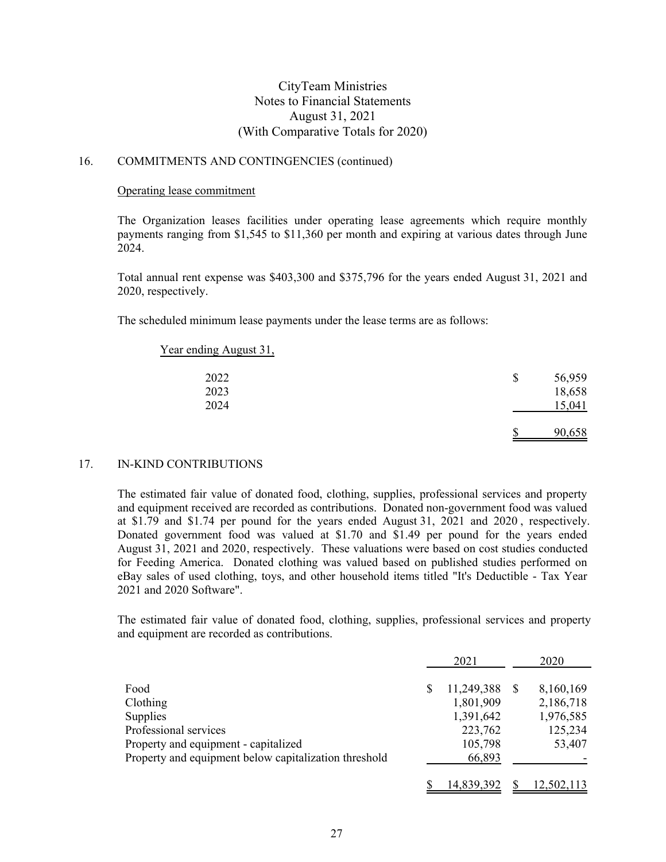## 16. COMMITMENTS AND CONTINGENCIES (continued)

#### Operating lease commitment

The Organization leases facilities under operating lease agreements which require monthly payments ranging from \$1,545 to \$11,360 per month and expiring at various dates through June 2024.

Total annual rent expense was \$403,300 and \$375,796 for the years ended August 31, 2021 and 2020, respectively.

The scheduled minimum lease payments under the lease terms are as follows:

| Year ending August 31, |              |
|------------------------|--------------|
| 2022                   | \$<br>56,959 |
| 2023                   | 18,658       |
| 2024                   | 15,041       |
|                        | 90,658       |

#### 17. IN-KIND CONTRIBUTIONS

The estimated fair value of donated food, clothing, supplies, professional services and property and equipment received are recorded as contributions. Donated non-government food was valued at \$1.79 and \$1.74 per pound for the years ended August 31, 2021 and 2020 , respectively. Donated government food was valued at \$1.70 and \$1.49 per pound for the years ended August 31, 2021 and 2020, respectively. These valuations were based on cost studies conducted for Feeding America. Donated clothing was valued based on published studies performed on eBay sales of used clothing, toys, and other household items titled "It's Deductible - Tax Year 2021 and 2020 Software".

The estimated fair value of donated food, clothing, supplies, professional services and property and equipment are recorded as contributions.

|                                                       | 2021       | 2020       |
|-------------------------------------------------------|------------|------------|
| Food                                                  | 11,249,388 | 8,160,169  |
| Clothing                                              | 1,801,909  | 2,186,718  |
| Supplies                                              | 1,391,642  | 1,976,585  |
| Professional services                                 | 223,762    | 125,234    |
| Property and equipment - capitalized                  | 105,798    | 53,407     |
| Property and equipment below capitalization threshold | 66,893     |            |
|                                                       | 14,839,392 | 12,502,113 |